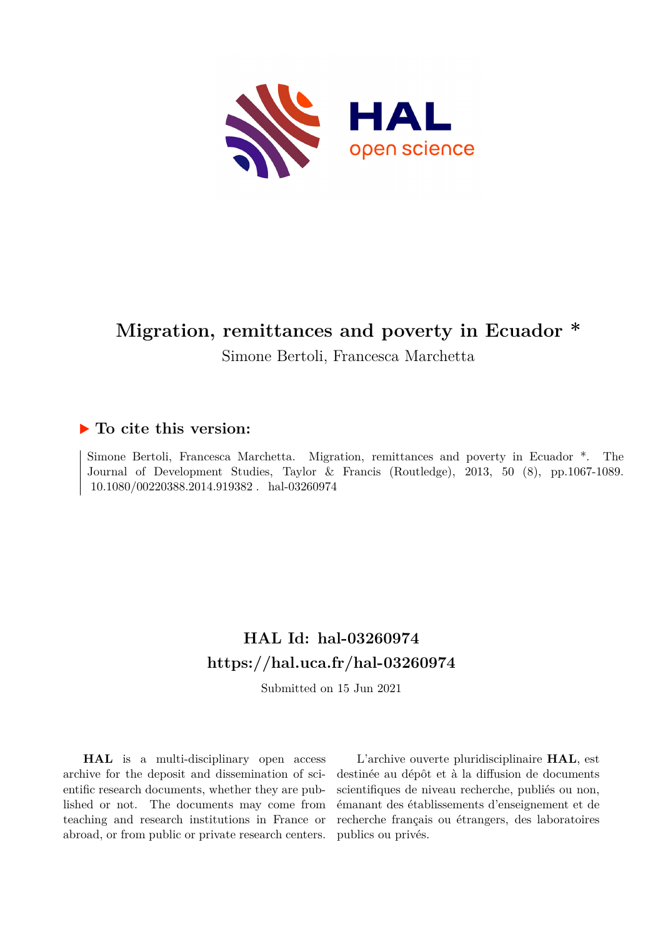

# **Migration, remittances and poverty in Ecuador \***

Simone Bertoli, Francesca Marchetta

## **To cite this version:**

Simone Bertoli, Francesca Marchetta. Migration, remittances and poverty in Ecuador \*. The Journal of Development Studies, Taylor & Francis (Routledge), 2013, 50 (8), pp.1067-1089. 10.1080/00220388.2014.919382. hal-03260974

# **HAL Id: hal-03260974 <https://hal.uca.fr/hal-03260974>**

Submitted on 15 Jun 2021

**HAL** is a multi-disciplinary open access archive for the deposit and dissemination of scientific research documents, whether they are published or not. The documents may come from teaching and research institutions in France or abroad, or from public or private research centers.

L'archive ouverte pluridisciplinaire **HAL**, est destinée au dépôt et à la diffusion de documents scientifiques de niveau recherche, publiés ou non, émanant des établissements d'enseignement et de recherche français ou étrangers, des laboratoires publics ou privés.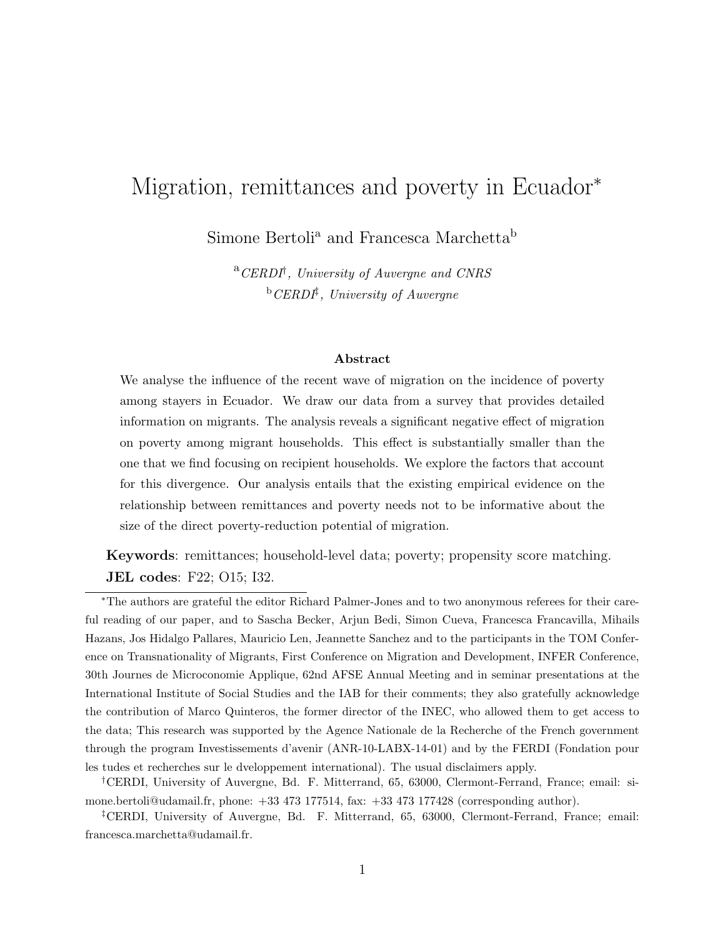# Migration, remittances and poverty in Ecuador<sup>\*</sup>

Simone Bertoli<sup>a</sup> and Francesca Marchetta<sup>b</sup>

 ${}^{a}$ CERDI<sup>†</sup>, University of Auvergne and CNRS  ${}^{b}CERD$ <sup>†</sup>, University of Auvergne

#### Abstract

We analyse the influence of the recent wave of migration on the incidence of poverty among stayers in Ecuador. We draw our data from a survey that provides detailed information on migrants. The analysis reveals a significant negative effect of migration on poverty among migrant households. This effect is substantially smaller than the one that we find focusing on recipient households. We explore the factors that account for this divergence. Our analysis entails that the existing empirical evidence on the relationship between remittances and poverty needs not to be informative about the size of the direct poverty-reduction potential of migration.

Keywords: remittances; household-level data; poverty; propensity score matching. JEL codes: F22; O15; I32.

<sup>∗</sup>The authors are grateful the editor Richard Palmer-Jones and to two anonymous referees for their careful reading of our paper, and to Sascha Becker, Arjun Bedi, Simon Cueva, Francesca Francavilla, Mihails Hazans, Jos Hidalgo Pallares, Mauricio Len, Jeannette Sanchez and to the participants in the TOM Conference on Transnationality of Migrants, First Conference on Migration and Development, INFER Conference, 30th Journes de Microconomie Applique, 62nd AFSE Annual Meeting and in seminar presentations at the International Institute of Social Studies and the IAB for their comments; they also gratefully acknowledge the contribution of Marco Quinteros, the former director of the INEC, who allowed them to get access to the data; This research was supported by the Agence Nationale de la Recherche of the French government through the program Investissements d'avenir (ANR-10-LABX-14-01) and by the FERDI (Fondation pour les tudes et recherches sur le dveloppement international). The usual disclaimers apply.

†CERDI, University of Auvergne, Bd. F. Mitterrand, 65, 63000, Clermont-Ferrand, France; email: simone.bertoli@udamail.fr, phone: +33 473 177514, fax: +33 473 177428 (corresponding author).

‡CERDI, University of Auvergne, Bd. F. Mitterrand, 65, 63000, Clermont-Ferrand, France; email: francesca.marchetta@udamail.fr.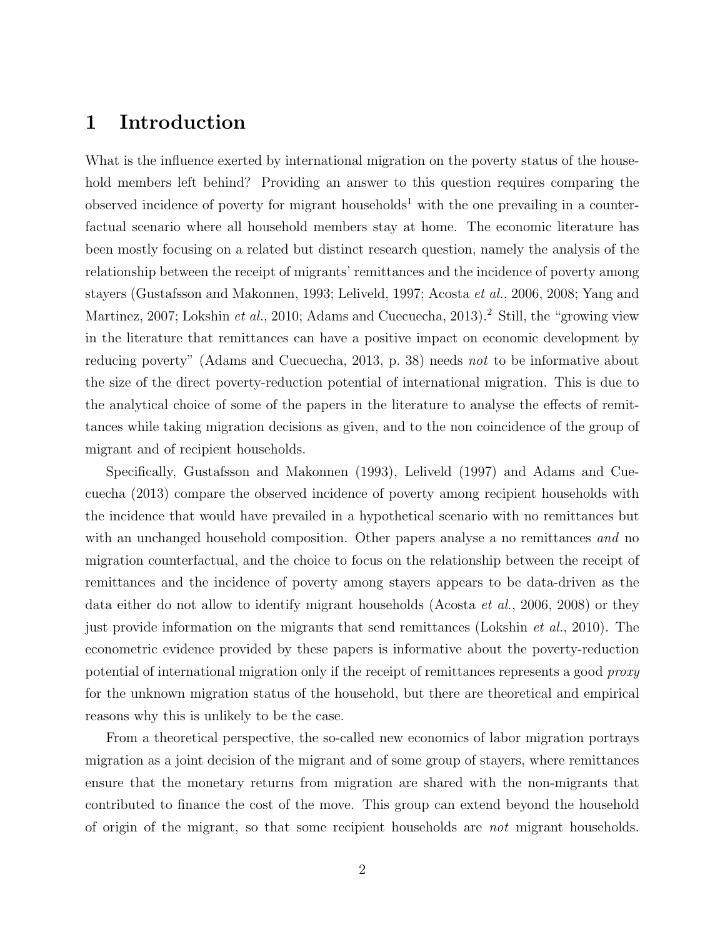## 1 Introduction

What is the influence exerted by international migration on the poverty status of the household members left behind? Providing an answer to this question requires comparing the observed incidence of poverty for migrant households<sup>1</sup> with the one prevailing in a counterfactual scenario where all household members stay at home. The economic literature has been mostly focusing on a related but distinct research question, namely the analysis of the relationship between the receipt of migrants' remittances and the incidence of poverty among stayers (Gustafsson and Makonnen, 1993; Leliveld, 1997; Acosta et al., 2006, 2008; Yang and Martinez, 2007; Lokshin et al., 2010; Adams and Cuecuecha, 2013).<sup>2</sup> Still, the "growing view" in the literature that remittances can have a positive impact on economic development by reducing poverty" (Adams and Cuecuecha, 2013, p. 38) needs not to be informative about the size of the direct poverty-reduction potential of international migration. This is due to the analytical choice of some of the papers in the literature to analyse the effects of remittances while taking migration decisions as given, and to the non coincidence of the group of migrant and of recipient households.

Specifically, Gustafsson and Makonnen (1993), Leliveld (1997) and Adams and Cuecuecha (2013) compare the observed incidence of poverty among recipient households with the incidence that would have prevailed in a hypothetical scenario with no remittances but with an unchanged household composition. Other papers analyse a no remittances and no migration counterfactual, and the choice to focus on the relationship between the receipt of remittances and the incidence of poverty among stayers appears to be data-driven as the data either do not allow to identify migrant households (Acosta et al., 2006, 2008) or they just provide information on the migrants that send remittances (Lokshin *et al.*, 2010). The econometric evidence provided by these papers is informative about the poverty-reduction potential of international migration only if the receipt of remittances represents a good proxy for the unknown migration status of the household, but there are theoretical and empirical reasons why this is unlikely to be the case.

From a theoretical perspective, the so-called new economics of labor migration portrays migration as a joint decision of the migrant and of some group of stayers, where remittances ensure that the monetary returns from migration are shared with the non-migrants that contributed to finance the cost of the move. This group can extend beyond the household of origin of the migrant, so that some recipient households are not migrant households.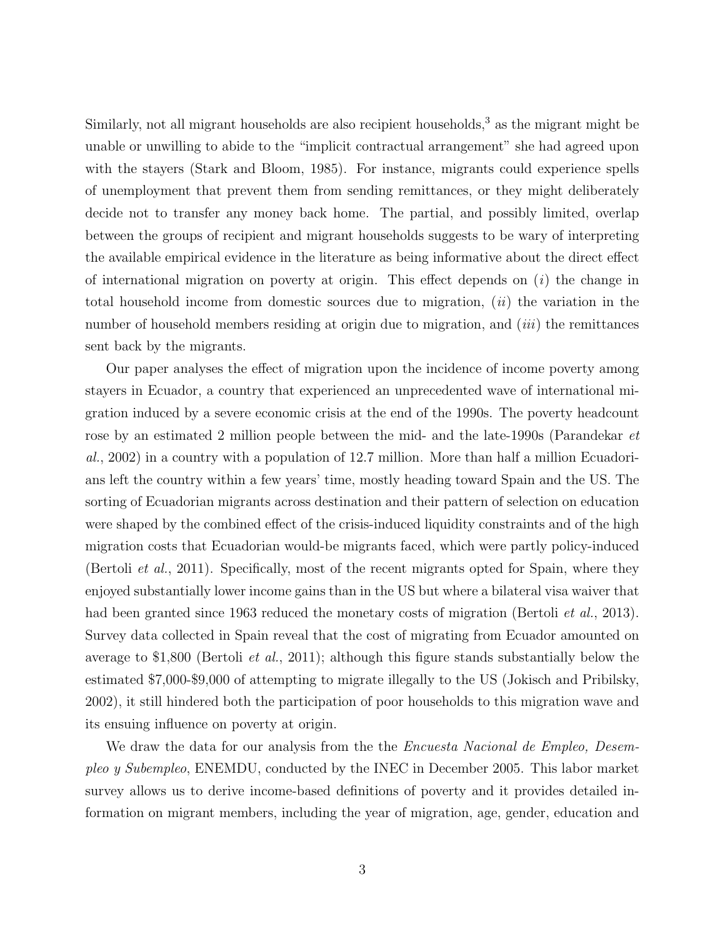Similarly, not all migrant households are also recipient households, $3$  as the migrant might be unable or unwilling to abide to the "implicit contractual arrangement" she had agreed upon with the stayers (Stark and Bloom, 1985). For instance, migrants could experience spells of unemployment that prevent them from sending remittances, or they might deliberately decide not to transfer any money back home. The partial, and possibly limited, overlap between the groups of recipient and migrant households suggests to be wary of interpreting the available empirical evidence in the literature as being informative about the direct effect of international migration on poverty at origin. This effect depends on  $(i)$  the change in total household income from domestic sources due to migration,  $(ii)$  the variation in the number of household members residing at origin due to migration, and  $(iii)$  the remittances sent back by the migrants.

Our paper analyses the effect of migration upon the incidence of income poverty among stayers in Ecuador, a country that experienced an unprecedented wave of international migration induced by a severe economic crisis at the end of the 1990s. The poverty headcount rose by an estimated 2 million people between the mid- and the late-1990s (Parandekar et al., 2002) in a country with a population of 12.7 million. More than half a million Ecuadorians left the country within a few years' time, mostly heading toward Spain and the US. The sorting of Ecuadorian migrants across destination and their pattern of selection on education were shaped by the combined effect of the crisis-induced liquidity constraints and of the high migration costs that Ecuadorian would-be migrants faced, which were partly policy-induced (Bertoli et al., 2011). Specifically, most of the recent migrants opted for Spain, where they enjoyed substantially lower income gains than in the US but where a bilateral visa waiver that had been granted since 1963 reduced the monetary costs of migration (Bertoli *et al.*, 2013). Survey data collected in Spain reveal that the cost of migrating from Ecuador amounted on average to \$1,800 (Bertoli et al., 2011); although this figure stands substantially below the estimated \$7,000-\$9,000 of attempting to migrate illegally to the US (Jokisch and Pribilsky, 2002), it still hindered both the participation of poor households to this migration wave and its ensuing influence on poverty at origin.

We draw the data for our analysis from the the *Encuesta Nacional de Empleo, Desem*pleo y Subempleo, ENEMDU, conducted by the INEC in December 2005. This labor market survey allows us to derive income-based definitions of poverty and it provides detailed information on migrant members, including the year of migration, age, gender, education and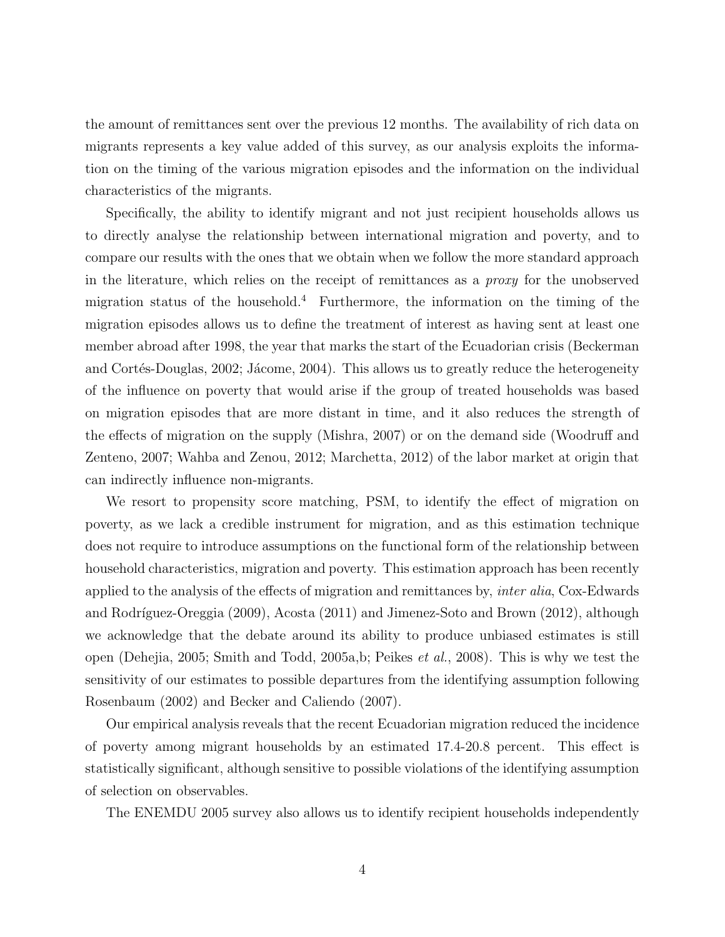the amount of remittances sent over the previous 12 months. The availability of rich data on migrants represents a key value added of this survey, as our analysis exploits the information on the timing of the various migration episodes and the information on the individual characteristics of the migrants.

Specifically, the ability to identify migrant and not just recipient households allows us to directly analyse the relationship between international migration and poverty, and to compare our results with the ones that we obtain when we follow the more standard approach in the literature, which relies on the receipt of remittances as a proxy for the unobserved migration status of the household.<sup>4</sup> Furthermore, the information on the timing of the migration episodes allows us to define the treatment of interest as having sent at least one member abroad after 1998, the year that marks the start of the Ecuadorian crisis (Beckerman and Cortés-Douglas, 2002; Jácome, 2004). This allows us to greatly reduce the heterogeneity of the influence on poverty that would arise if the group of treated households was based on migration episodes that are more distant in time, and it also reduces the strength of the effects of migration on the supply (Mishra, 2007) or on the demand side (Woodruff and Zenteno, 2007; Wahba and Zenou, 2012; Marchetta, 2012) of the labor market at origin that can indirectly influence non-migrants.

We resort to propensity score matching, PSM, to identify the effect of migration on poverty, as we lack a credible instrument for migration, and as this estimation technique does not require to introduce assumptions on the functional form of the relationship between household characteristics, migration and poverty. This estimation approach has been recently applied to the analysis of the effects of migration and remittances by, inter alia, Cox-Edwards and Rodríguez-Oreggia (2009), Acosta (2011) and Jimenez-Soto and Brown (2012), although we acknowledge that the debate around its ability to produce unbiased estimates is still open (Dehejia, 2005; Smith and Todd, 2005a,b; Peikes et al., 2008). This is why we test the sensitivity of our estimates to possible departures from the identifying assumption following Rosenbaum (2002) and Becker and Caliendo (2007).

Our empirical analysis reveals that the recent Ecuadorian migration reduced the incidence of poverty among migrant households by an estimated 17.4-20.8 percent. This effect is statistically significant, although sensitive to possible violations of the identifying assumption of selection on observables.

The ENEMDU 2005 survey also allows us to identify recipient households independently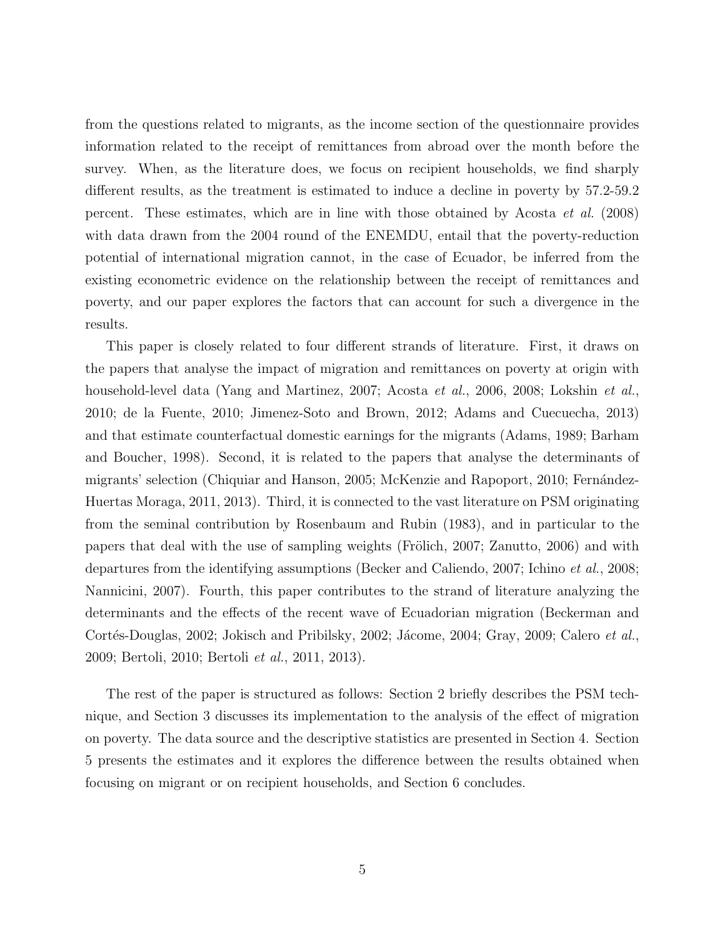from the questions related to migrants, as the income section of the questionnaire provides information related to the receipt of remittances from abroad over the month before the survey. When, as the literature does, we focus on recipient households, we find sharply different results, as the treatment is estimated to induce a decline in poverty by 57.2-59.2 percent. These estimates, which are in line with those obtained by Acosta et al. (2008) with data drawn from the 2004 round of the ENEMDU, entail that the poverty-reduction potential of international migration cannot, in the case of Ecuador, be inferred from the existing econometric evidence on the relationship between the receipt of remittances and poverty, and our paper explores the factors that can account for such a divergence in the results.

This paper is closely related to four different strands of literature. First, it draws on the papers that analyse the impact of migration and remittances on poverty at origin with household-level data (Yang and Martinez, 2007; Acosta et al., 2006, 2008; Lokshin et al., 2010; de la Fuente, 2010; Jimenez-Soto and Brown, 2012; Adams and Cuecuecha, 2013) and that estimate counterfactual domestic earnings for the migrants (Adams, 1989; Barham and Boucher, 1998). Second, it is related to the papers that analyse the determinants of migrants' selection (Chiquiar and Hanson, 2005; McKenzie and Rapoport, 2010; Fernández-Huertas Moraga, 2011, 2013). Third, it is connected to the vast literature on PSM originating from the seminal contribution by Rosenbaum and Rubin (1983), and in particular to the papers that deal with the use of sampling weights (Frölich, 2007; Zanutto, 2006) and with departures from the identifying assumptions (Becker and Caliendo, 2007; Ichino et al., 2008; Nannicini, 2007). Fourth, this paper contributes to the strand of literature analyzing the determinants and the effects of the recent wave of Ecuadorian migration (Beckerman and Cortés-Douglas, 2002; Jokisch and Pribilsky, 2002; Jácome, 2004; Gray, 2009; Calero et al., 2009; Bertoli, 2010; Bertoli et al., 2011, 2013).

The rest of the paper is structured as follows: Section 2 briefly describes the PSM technique, and Section 3 discusses its implementation to the analysis of the effect of migration on poverty. The data source and the descriptive statistics are presented in Section 4. Section 5 presents the estimates and it explores the difference between the results obtained when focusing on migrant or on recipient households, and Section 6 concludes.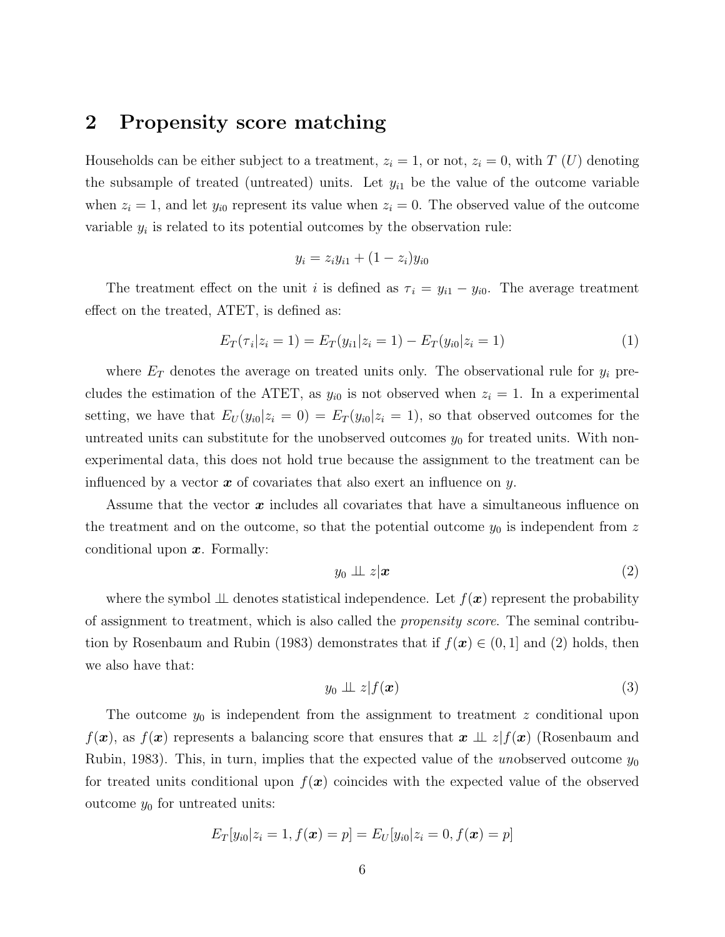## 2 Propensity score matching

Households can be either subject to a treatment,  $z_i = 1$ , or not,  $z_i = 0$ , with T (U) denoting the subsample of treated (untreated) units. Let  $y_{i1}$  be the value of the outcome variable when  $z_i = 1$ , and let  $y_{i0}$  represent its value when  $z_i = 0$ . The observed value of the outcome variable  $y_i$  is related to its potential outcomes by the observation rule:

$$
y_i = z_i y_{i1} + (1 - z_i) y_{i0}
$$

The treatment effect on the unit i is defined as  $\tau_i = y_{i1} - y_{i0}$ . The average treatment effect on the treated, ATET, is defined as:

$$
E_T(\tau_i|z_i=1) = E_T(y_{i1}|z_i=1) - E_T(y_{i0}|z_i=1)
$$
\n(1)

where  $E_T$  denotes the average on treated units only. The observational rule for  $y_i$  precludes the estimation of the ATET, as  $y_{i0}$  is not observed when  $z_i = 1$ . In a experimental setting, we have that  $E_U(y_{i0}|z_i=0) = E_T(y_{i0}|z_i=1)$ , so that observed outcomes for the untreated units can substitute for the unobserved outcomes  $y_0$  for treated units. With nonexperimental data, this does not hold true because the assignment to the treatment can be influenced by a vector  $x$  of covariates that also exert an influence on y.

Assume that the vector  $x$  includes all covariates that have a simultaneous influence on the treatment and on the outcome, so that the potential outcome  $y_0$  is independent from z conditional upon  $x$ . Formally:

$$
y_0 \perp \!\!\!\perp z | \bm{x} \tag{2}
$$

where the symbol  $\perp\!\!\!\perp$  denotes statistical independence. Let  $f(\mathbf{x})$  represent the probability of assignment to treatment, which is also called the propensity score. The seminal contribution by Rosenbaum and Rubin (1983) demonstrates that if  $f(x) \in (0, 1]$  and (2) holds, then we also have that:

$$
y_0 \perp \!\!\!\perp z | f(\boldsymbol{x}) \tag{3}
$$

The outcome  $y_0$  is independent from the assignment to treatment z conditional upon  $f(x)$ , as  $f(x)$  represents a balancing score that ensures that  $x \perp\!\!\!\perp z$   $f(x)$  (Rosenbaum and Rubin, 1983). This, in turn, implies that the expected value of the unobserved outcome  $y_0$ for treated units conditional upon  $f(x)$  coincides with the expected value of the observed outcome  $y_0$  for untreated units:

$$
E_T[y_{i0}|z_i=1, f(\bm{x})=p]=E_U[y_{i0}|z_i=0, f(\bm{x})=p]
$$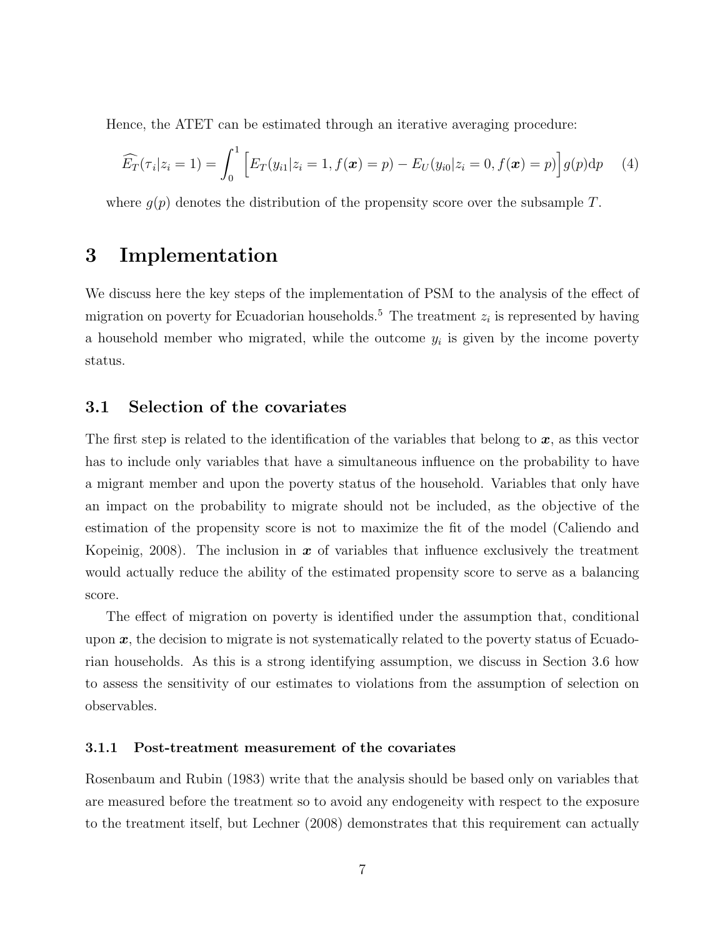Hence, the ATET can be estimated through an iterative averaging procedure:

$$
\widehat{E}_T(\tau_i|z_i=1)=\int_0^1\Big[E_T(y_{i1}|z_i=1,f(\boldsymbol{x})=p)-E_U(y_{i0}|z_i=0,f(\boldsymbol{x})=p)\Big]g(p)\mathrm{d}p\qquad(4)
$$

where  $q(p)$  denotes the distribution of the propensity score over the subsample T.

## 3 Implementation

We discuss here the key steps of the implementation of PSM to the analysis of the effect of migration on poverty for Ecuadorian households.<sup>5</sup> The treatment  $z_i$  is represented by having a household member who migrated, while the outcome  $y_i$  is given by the income poverty status.

### 3.1 Selection of the covariates

The first step is related to the identification of the variables that belong to  $x$ , as this vector has to include only variables that have a simultaneous influence on the probability to have a migrant member and upon the poverty status of the household. Variables that only have an impact on the probability to migrate should not be included, as the objective of the estimation of the propensity score is not to maximize the fit of the model (Caliendo and Kopeinig, 2008). The inclusion in  $x$  of variables that influence exclusively the treatment would actually reduce the ability of the estimated propensity score to serve as a balancing score.

The effect of migration on poverty is identified under the assumption that, conditional upon  $x$ , the decision to migrate is not systematically related to the poverty status of Ecuadorian households. As this is a strong identifying assumption, we discuss in Section 3.6 how to assess the sensitivity of our estimates to violations from the assumption of selection on observables.

#### 3.1.1 Post-treatment measurement of the covariates

Rosenbaum and Rubin (1983) write that the analysis should be based only on variables that are measured before the treatment so to avoid any endogeneity with respect to the exposure to the treatment itself, but Lechner (2008) demonstrates that this requirement can actually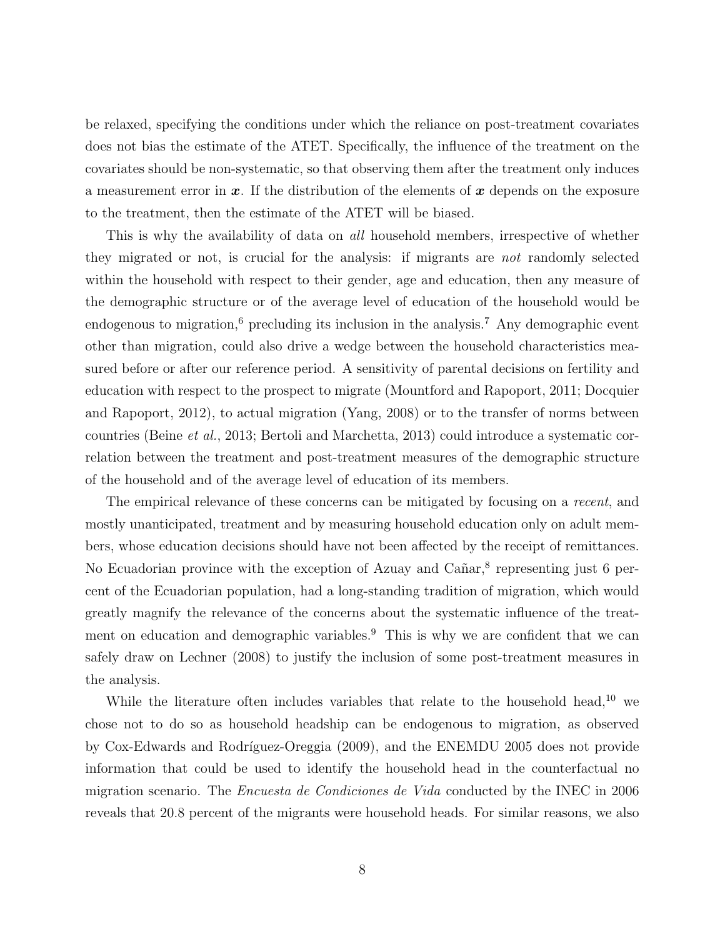be relaxed, specifying the conditions under which the reliance on post-treatment covariates does not bias the estimate of the ATET. Specifically, the influence of the treatment on the covariates should be non-systematic, so that observing them after the treatment only induces a measurement error in  $x$ . If the distribution of the elements of  $x$  depends on the exposure to the treatment, then the estimate of the ATET will be biased.

This is why the availability of data on *all* household members, irrespective of whether they migrated or not, is crucial for the analysis: if migrants are not randomly selected within the household with respect to their gender, age and education, then any measure of the demographic structure or of the average level of education of the household would be endogenous to migration,<sup>6</sup> precluding its inclusion in the analysis.<sup>7</sup> Any demographic event other than migration, could also drive a wedge between the household characteristics measured before or after our reference period. A sensitivity of parental decisions on fertility and education with respect to the prospect to migrate (Mountford and Rapoport, 2011; Docquier and Rapoport, 2012), to actual migration (Yang, 2008) or to the transfer of norms between countries (Beine et al., 2013; Bertoli and Marchetta, 2013) could introduce a systematic correlation between the treatment and post-treatment measures of the demographic structure of the household and of the average level of education of its members.

The empirical relevance of these concerns can be mitigated by focusing on a recent, and mostly unanticipated, treatment and by measuring household education only on adult members, whose education decisions should have not been affected by the receipt of remittances. No Ecuadorian province with the exception of Azuay and Cañar,<sup>8</sup> representing just 6 percent of the Ecuadorian population, had a long-standing tradition of migration, which would greatly magnify the relevance of the concerns about the systematic influence of the treatment on education and demographic variables.<sup>9</sup> This is why we are confident that we can safely draw on Lechner (2008) to justify the inclusion of some post-treatment measures in the analysis.

While the literature often includes variables that relate to the household head,<sup>10</sup> we chose not to do so as household headship can be endogenous to migration, as observed by Cox-Edwards and Rodríguez-Oreggia (2009), and the ENEMDU 2005 does not provide information that could be used to identify the household head in the counterfactual no migration scenario. The Encuesta de Condiciones de Vida conducted by the INEC in 2006 reveals that 20.8 percent of the migrants were household heads. For similar reasons, we also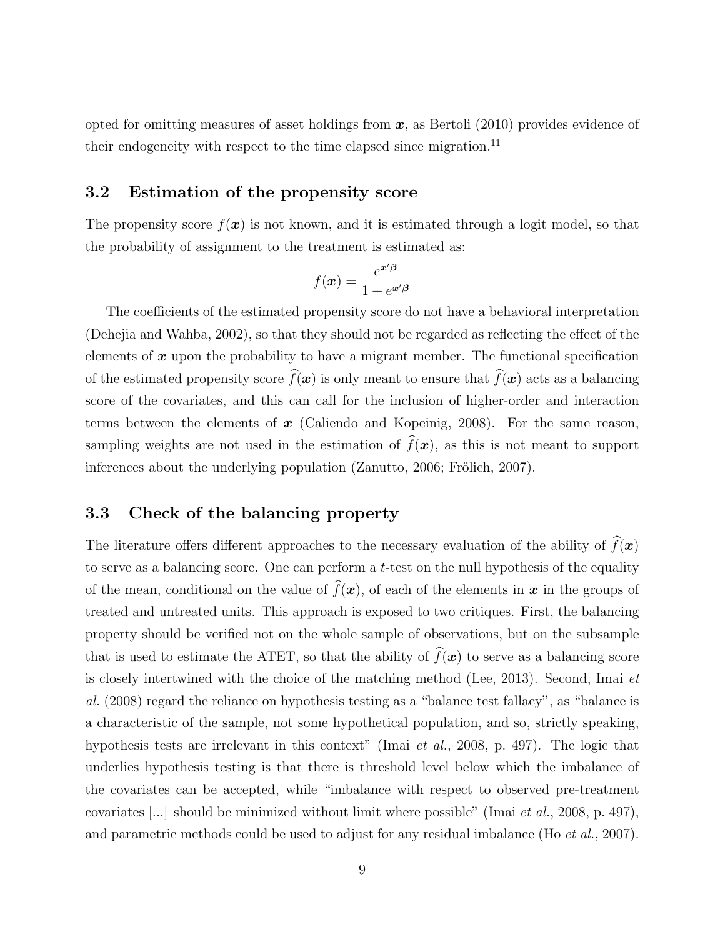opted for omitting measures of asset holdings from  $x$ , as Bertoli (2010) provides evidence of their endogeneity with respect to the time elapsed since migration.<sup>11</sup>

### 3.2 Estimation of the propensity score

The propensity score  $f(x)$  is not known, and it is estimated through a logit model, so that the probability of assignment to the treatment is estimated as:

$$
f(\boldsymbol{x}) = \frac{e^{\boldsymbol{x}'\boldsymbol{\beta}}}{1 + e^{\boldsymbol{x}'\boldsymbol{\beta}}}
$$

The coefficients of the estimated propensity score do not have a behavioral interpretation (Dehejia and Wahba, 2002), so that they should not be regarded as reflecting the effect of the elements of  $x$  upon the probability to have a migrant member. The functional specification of the estimated propensity score  $\widehat{f}(\boldsymbol{x})$  is only meant to ensure that  $\widehat{f}(\boldsymbol{x})$  acts as a balancing score of the covariates, and this can call for the inclusion of higher-order and interaction terms between the elements of  $x$  (Caliendo and Kopeinig, 2008). For the same reason, sampling weights are not used in the estimation of  $\widehat{f}(\boldsymbol{x})$ , as this is not meant to support inferences about the underlying population (Zanutto, 2006; Frölich, 2007).

### 3.3 Check of the balancing property

The literature offers different approaches to the necessary evaluation of the ability of  $\widehat{f}(\boldsymbol{x})$ to serve as a balancing score. One can perform a  $t$ -test on the null hypothesis of the equality of the mean, conditional on the value of  $\widehat{f}(\boldsymbol{x})$ , of each of the elements in  $\boldsymbol{x}$  in the groups of treated and untreated units. This approach is exposed to two critiques. First, the balancing property should be verified not on the whole sample of observations, but on the subsample that is used to estimate the ATET, so that the ability of  $\hat{f}(\boldsymbol{x})$  to serve as a balancing score is closely intertwined with the choice of the matching method (Lee, 2013). Second, Imai et al. (2008) regard the reliance on hypothesis testing as a "balance test fallacy", as "balance is a characteristic of the sample, not some hypothetical population, and so, strictly speaking, hypothesis tests are irrelevant in this context" (Imai et al., 2008, p. 497). The logic that underlies hypothesis testing is that there is threshold level below which the imbalance of the covariates can be accepted, while "imbalance with respect to observed pre-treatment covariates [...] should be minimized without limit where possible" (Imai et al., 2008, p. 497), and parametric methods could be used to adjust for any residual imbalance (Ho et al., 2007).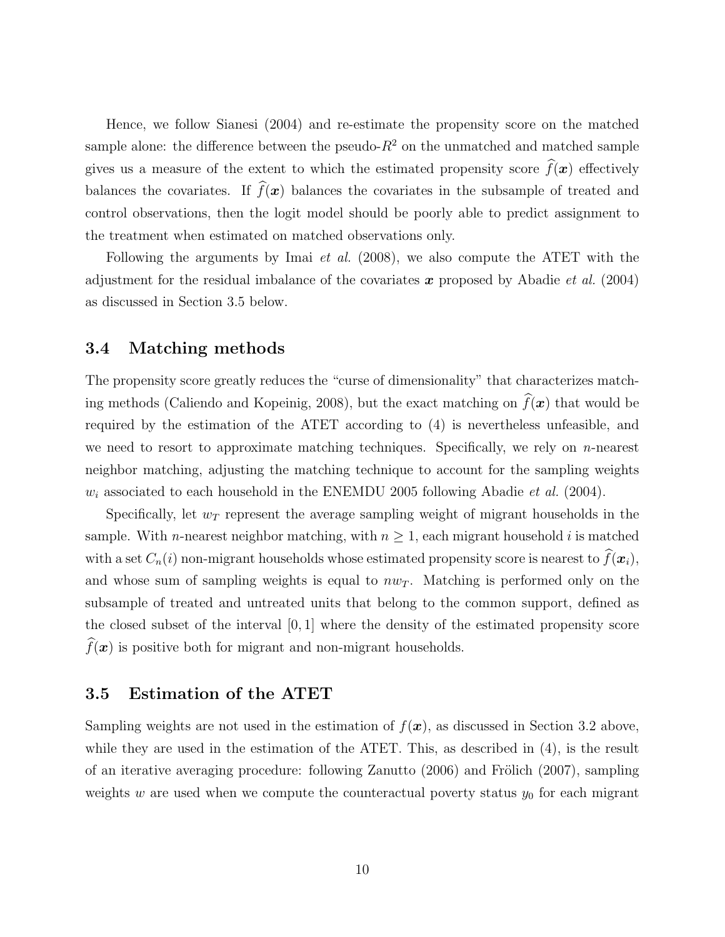Hence, we follow Sianesi (2004) and re-estimate the propensity score on the matched sample alone: the difference between the pseudo- $R^2$  on the unmatched and matched sample gives us a measure of the extent to which the estimated propensity score  $\hat{f}(\boldsymbol{x})$  effectively balances the covariates. If  $\widehat{f}(\boldsymbol{x})$  balances the covariates in the subsample of treated and control observations, then the logit model should be poorly able to predict assignment to the treatment when estimated on matched observations only.

Following the arguments by Imai *et al.* (2008), we also compute the ATET with the adjustment for the residual imbalance of the covariates  $x$  proposed by Abadie *et al.* (2004) as discussed in Section 3.5 below.

#### 3.4 Matching methods

The propensity score greatly reduces the "curse of dimensionality" that characterizes matching methods (Caliendo and Kopeinig, 2008), but the exact matching on  $\widehat{f}(\boldsymbol{x})$  that would be required by the estimation of the ATET according to (4) is nevertheless unfeasible, and we need to resort to approximate matching techniques. Specifically, we rely on  $n$ -nearest neighbor matching, adjusting the matching technique to account for the sampling weights  $w_i$  associated to each household in the ENEMDU 2005 following Abadie et al. (2004).

Specifically, let  $w_T$  represent the average sampling weight of migrant households in the sample. With *n*-nearest neighbor matching, with  $n \geq 1$ , each migrant household *i* is matched with a set  $C_n(i)$  non-migrant households whose estimated propensity score is nearest to  $\widehat{f}(\boldsymbol{x}_i)$ , and whose sum of sampling weights is equal to  $nw_T$ . Matching is performed only on the subsample of treated and untreated units that belong to the common support, defined as the closed subset of the interval [0, 1] where the density of the estimated propensity score  $\widehat{f}(\boldsymbol{x})$  is positive both for migrant and non-migrant households.

#### 3.5 Estimation of the ATET

Sampling weights are not used in the estimation of  $f(\mathbf{x})$ , as discussed in Section 3.2 above. while they are used in the estimation of the ATET. This, as described in (4), is the result of an iterative averaging procedure: following Zanutto  $(2006)$  and Frölich  $(2007)$ , sampling weights w are used when we compute the counteractual poverty status  $y_0$  for each migrant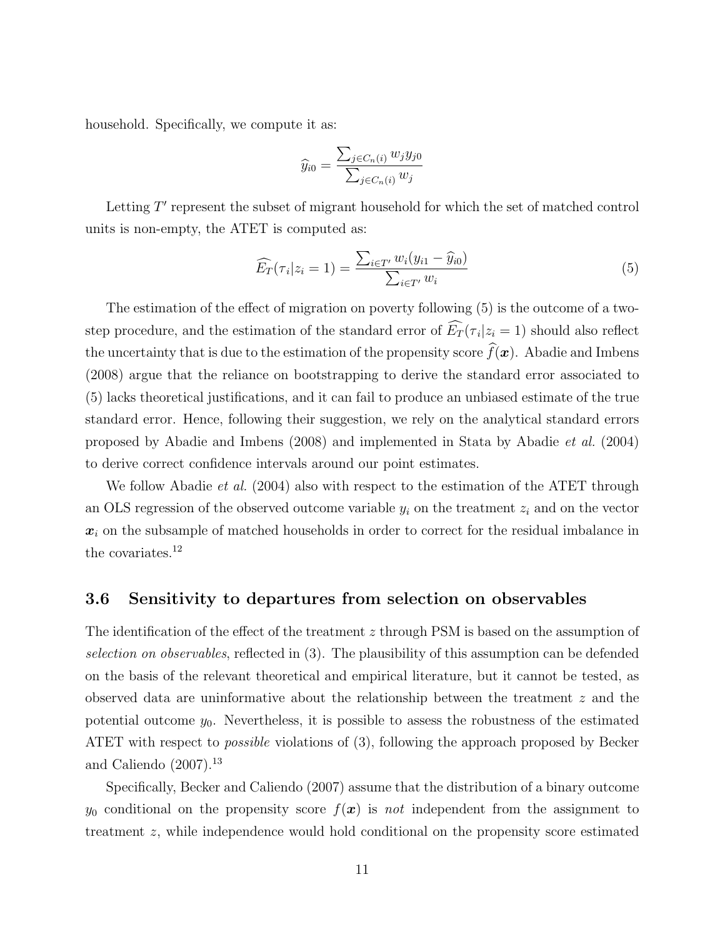household. Specifically, we compute it as:

$$
\widehat{y}_{i0} = \frac{\sum_{j \in C_n(i)} w_j y_{j0}}{\sum_{j \in C_n(i)} w_j}
$$

Letting  $T'$  represent the subset of migrant household for which the set of matched control units is non-empty, the ATET is computed as:

$$
\widehat{E_T}(\tau_i|z_i=1) = \frac{\sum_{i \in T'} w_i(y_{i1} - \widehat{y}_{i0})}{\sum_{i \in T'} w_i}
$$
\n(5)

The estimation of the effect of migration on poverty following (5) is the outcome of a twostep procedure, and the estimation of the standard error of  $E_T(\tau_i|z_i=1)$  should also reflect the uncertainty that is due to the estimation of the propensity score  $\widehat{f}(\boldsymbol{x})$ . Abadie and Imbens (2008) argue that the reliance on bootstrapping to derive the standard error associated to (5) lacks theoretical justifications, and it can fail to produce an unbiased estimate of the true standard error. Hence, following their suggestion, we rely on the analytical standard errors proposed by Abadie and Imbens (2008) and implemented in Stata by Abadie et al. (2004) to derive correct confidence intervals around our point estimates.

We follow Abadie *et al.* (2004) also with respect to the estimation of the ATET through an OLS regression of the observed outcome variable  $y_i$  on the treatment  $z_i$  and on the vector  $x_i$  on the subsample of matched households in order to correct for the residual imbalance in the covariates.<sup>12</sup>

### 3.6 Sensitivity to departures from selection on observables

The identification of the effect of the treatment z through PSM is based on the assumption of selection on observables, reflected in (3). The plausibility of this assumption can be defended on the basis of the relevant theoretical and empirical literature, but it cannot be tested, as observed data are uninformative about the relationship between the treatment z and the potential outcome  $y_0$ . Nevertheless, it is possible to assess the robustness of the estimated ATET with respect to possible violations of (3), following the approach proposed by Becker and Caliendo  $(2007).<sup>13</sup>$ 

Specifically, Becker and Caliendo (2007) assume that the distribution of a binary outcome  $y_0$  conditional on the propensity score  $f(x)$  is not independent from the assignment to treatment z, while independence would hold conditional on the propensity score estimated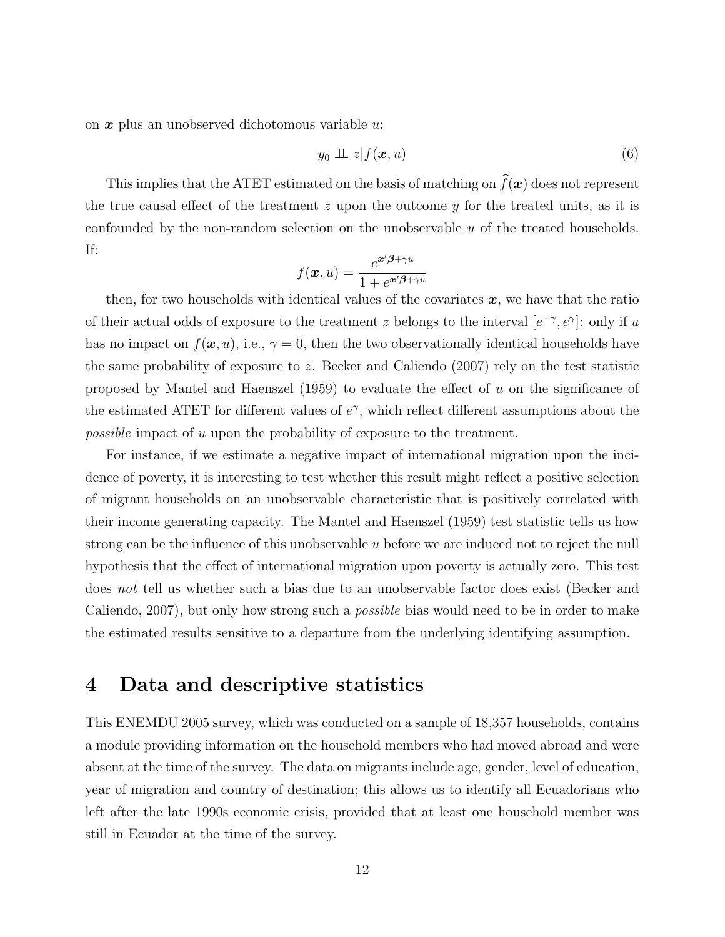on  $x$  plus an unobserved dichotomous variable  $u$ .

$$
y_0 \perp \!\!\!\perp z | f(\boldsymbol{x}, u) \tag{6}
$$

This implies that the ATET estimated on the basis of matching on  $\widehat{f}(\boldsymbol{x})$  does not represent the true causal effect of the treatment  $z$  upon the outcome  $y$  for the treated units, as it is confounded by the non-random selection on the unobservable  $u$  of the treated households. If:

$$
f(\boldsymbol{x},u) = \frac{e^{\boldsymbol{x}'\boldsymbol{\beta} + \gamma u}}{1 + e^{\boldsymbol{x}'\boldsymbol{\beta} + \gamma u}}
$$

then, for two households with identical values of the covariates  $x$ , we have that the ratio of their actual odds of exposure to the treatment z belongs to the interval  $[e^{-\gamma}, e^{\gamma}]$ : only if u has no impact on  $f(x, u)$ , i.e.,  $\gamma = 0$ , then the two observationally identical households have the same probability of exposure to z. Becker and Caliendo (2007) rely on the test statistic proposed by Mantel and Haenszel  $(1959)$  to evaluate the effect of u on the significance of the estimated ATET for different values of  $e^{\gamma}$ , which reflect different assumptions about the possible impact of u upon the probability of exposure to the treatment.

For instance, if we estimate a negative impact of international migration upon the incidence of poverty, it is interesting to test whether this result might reflect a positive selection of migrant households on an unobservable characteristic that is positively correlated with their income generating capacity. The Mantel and Haenszel (1959) test statistic tells us how strong can be the influence of this unobservable  $u$  before we are induced not to reject the null hypothesis that the effect of international migration upon poverty is actually zero. This test does not tell us whether such a bias due to an unobservable factor does exist (Becker and Caliendo, 2007), but only how strong such a possible bias would need to be in order to make the estimated results sensitive to a departure from the underlying identifying assumption.

## 4 Data and descriptive statistics

This ENEMDU 2005 survey, which was conducted on a sample of 18,357 households, contains a module providing information on the household members who had moved abroad and were absent at the time of the survey. The data on migrants include age, gender, level of education, year of migration and country of destination; this allows us to identify all Ecuadorians who left after the late 1990s economic crisis, provided that at least one household member was still in Ecuador at the time of the survey.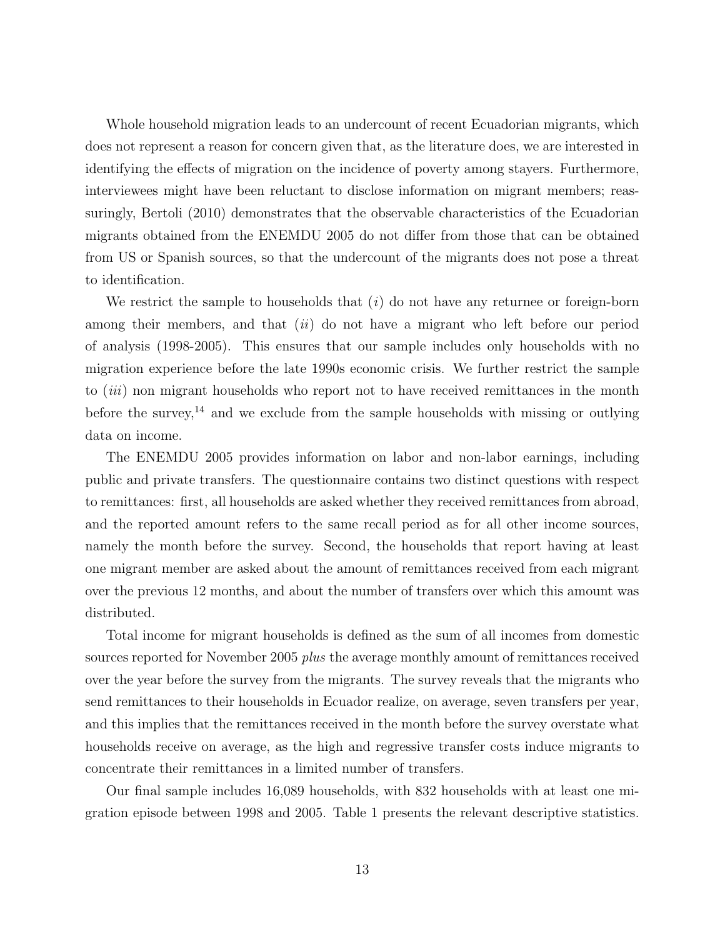Whole household migration leads to an undercount of recent Ecuadorian migrants, which does not represent a reason for concern given that, as the literature does, we are interested in identifying the effects of migration on the incidence of poverty among stayers. Furthermore, interviewees might have been reluctant to disclose information on migrant members; reassuringly, Bertoli (2010) demonstrates that the observable characteristics of the Ecuadorian migrants obtained from the ENEMDU 2005 do not differ from those that can be obtained from US or Spanish sources, so that the undercount of the migrants does not pose a threat to identification.

We restrict the sample to households that  $(i)$  do not have any returnee or foreign-born among their members, and that  $(ii)$  do not have a migrant who left before our period of analysis (1998-2005). This ensures that our sample includes only households with no migration experience before the late 1990s economic crisis. We further restrict the sample to *(iii)* non migrant households who report not to have received remittances in the month before the survey,<sup>14</sup> and we exclude from the sample households with missing or outlying data on income.

The ENEMDU 2005 provides information on labor and non-labor earnings, including public and private transfers. The questionnaire contains two distinct questions with respect to remittances: first, all households are asked whether they received remittances from abroad, and the reported amount refers to the same recall period as for all other income sources, namely the month before the survey. Second, the households that report having at least one migrant member are asked about the amount of remittances received from each migrant over the previous 12 months, and about the number of transfers over which this amount was distributed.

Total income for migrant households is defined as the sum of all incomes from domestic sources reported for November 2005 plus the average monthly amount of remittances received over the year before the survey from the migrants. The survey reveals that the migrants who send remittances to their households in Ecuador realize, on average, seven transfers per year, and this implies that the remittances received in the month before the survey overstate what households receive on average, as the high and regressive transfer costs induce migrants to concentrate their remittances in a limited number of transfers.

Our final sample includes 16,089 households, with 832 households with at least one migration episode between 1998 and 2005. Table 1 presents the relevant descriptive statistics.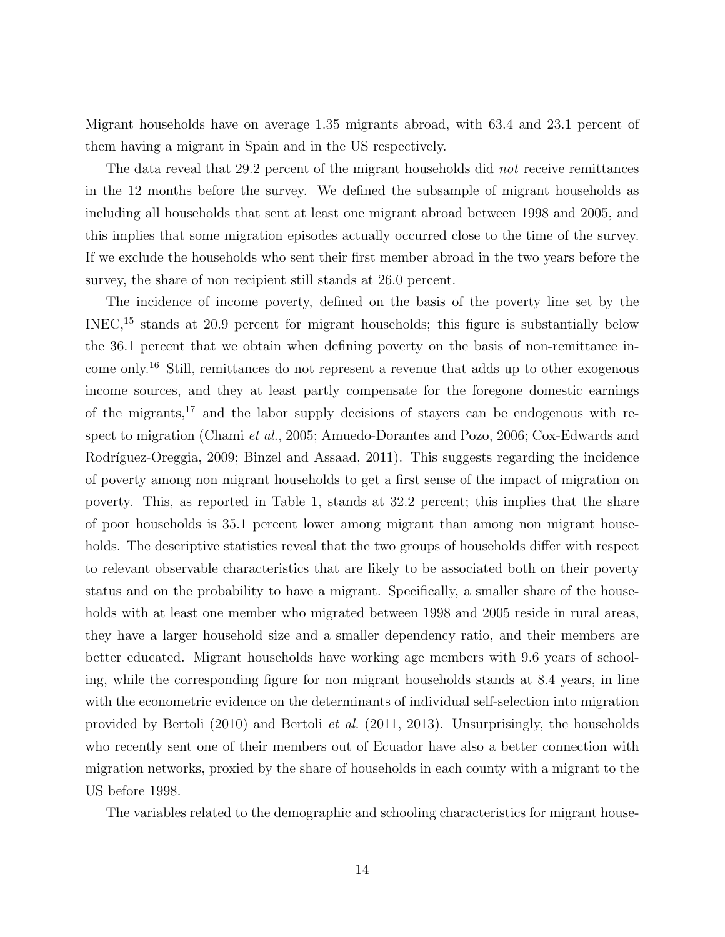Migrant households have on average 1.35 migrants abroad, with 63.4 and 23.1 percent of them having a migrant in Spain and in the US respectively.

The data reveal that 29.2 percent of the migrant households did *not* receive remittances in the 12 months before the survey. We defined the subsample of migrant households as including all households that sent at least one migrant abroad between 1998 and 2005, and this implies that some migration episodes actually occurred close to the time of the survey. If we exclude the households who sent their first member abroad in the two years before the survey, the share of non recipient still stands at 26.0 percent.

The incidence of income poverty, defined on the basis of the poverty line set by the INEC,<sup>15</sup> stands at 20.9 percent for migrant households; this figure is substantially below the 36.1 percent that we obtain when defining poverty on the basis of non-remittance income only.<sup>16</sup> Still, remittances do not represent a revenue that adds up to other exogenous income sources, and they at least partly compensate for the foregone domestic earnings of the migrants,<sup>17</sup> and the labor supply decisions of stayers can be endogenous with respect to migration (Chami et al., 2005; Amuedo-Dorantes and Pozo, 2006; Cox-Edwards and Rodríguez-Oreggia, 2009; Binzel and Assaad, 2011). This suggests regarding the incidence of poverty among non migrant households to get a first sense of the impact of migration on poverty. This, as reported in Table 1, stands at 32.2 percent; this implies that the share of poor households is 35.1 percent lower among migrant than among non migrant households. The descriptive statistics reveal that the two groups of households differ with respect to relevant observable characteristics that are likely to be associated both on their poverty status and on the probability to have a migrant. Specifically, a smaller share of the households with at least one member who migrated between 1998 and 2005 reside in rural areas, they have a larger household size and a smaller dependency ratio, and their members are better educated. Migrant households have working age members with 9.6 years of schooling, while the corresponding figure for non migrant households stands at 8.4 years, in line with the econometric evidence on the determinants of individual self-selection into migration provided by Bertoli (2010) and Bertoli et al. (2011, 2013). Unsurprisingly, the households who recently sent one of their members out of Ecuador have also a better connection with migration networks, proxied by the share of households in each county with a migrant to the US before 1998.

The variables related to the demographic and schooling characteristics for migrant house-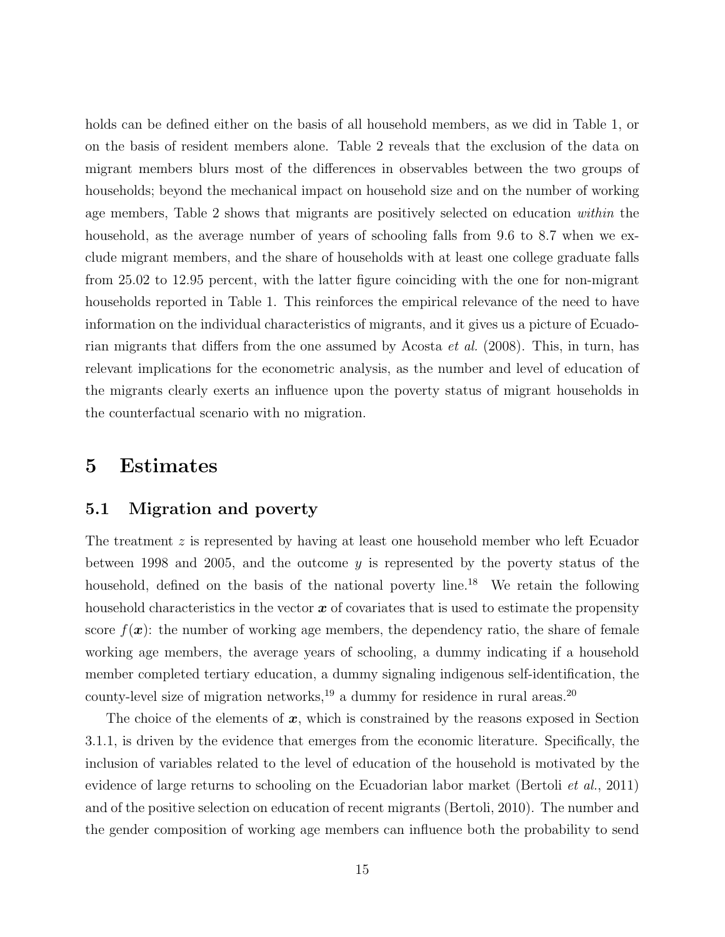holds can be defined either on the basis of all household members, as we did in Table 1, or on the basis of resident members alone. Table 2 reveals that the exclusion of the data on migrant members blurs most of the differences in observables between the two groups of households; beyond the mechanical impact on household size and on the number of working age members, Table 2 shows that migrants are positively selected on education within the household, as the average number of years of schooling falls from 9.6 to 8.7 when we exclude migrant members, and the share of households with at least one college graduate falls from 25.02 to 12.95 percent, with the latter figure coinciding with the one for non-migrant households reported in Table 1. This reinforces the empirical relevance of the need to have information on the individual characteristics of migrants, and it gives us a picture of Ecuadorian migrants that differs from the one assumed by Acosta et al. (2008). This, in turn, has relevant implications for the econometric analysis, as the number and level of education of the migrants clearly exerts an influence upon the poverty status of migrant households in the counterfactual scenario with no migration.

# 5 Estimates

#### 5.1 Migration and poverty

The treatment  $z$  is represented by having at least one household member who left Ecuador between 1998 and 2005, and the outcome  $y$  is represented by the poverty status of the household, defined on the basis of the national poverty line.<sup>18</sup> We retain the following household characteristics in the vector  $x$  of covariates that is used to estimate the propensity score  $f(\mathbf{x})$ : the number of working age members, the dependency ratio, the share of female working age members, the average years of schooling, a dummy indicating if a household member completed tertiary education, a dummy signaling indigenous self-identification, the county-level size of migration networks,  $^{19}$  a dummy for residence in rural areas.  $^{20}$ 

The choice of the elements of  $x$ , which is constrained by the reasons exposed in Section 3.1.1, is driven by the evidence that emerges from the economic literature. Specifically, the inclusion of variables related to the level of education of the household is motivated by the evidence of large returns to schooling on the Ecuadorian labor market (Bertoli et al., 2011) and of the positive selection on education of recent migrants (Bertoli, 2010). The number and the gender composition of working age members can influence both the probability to send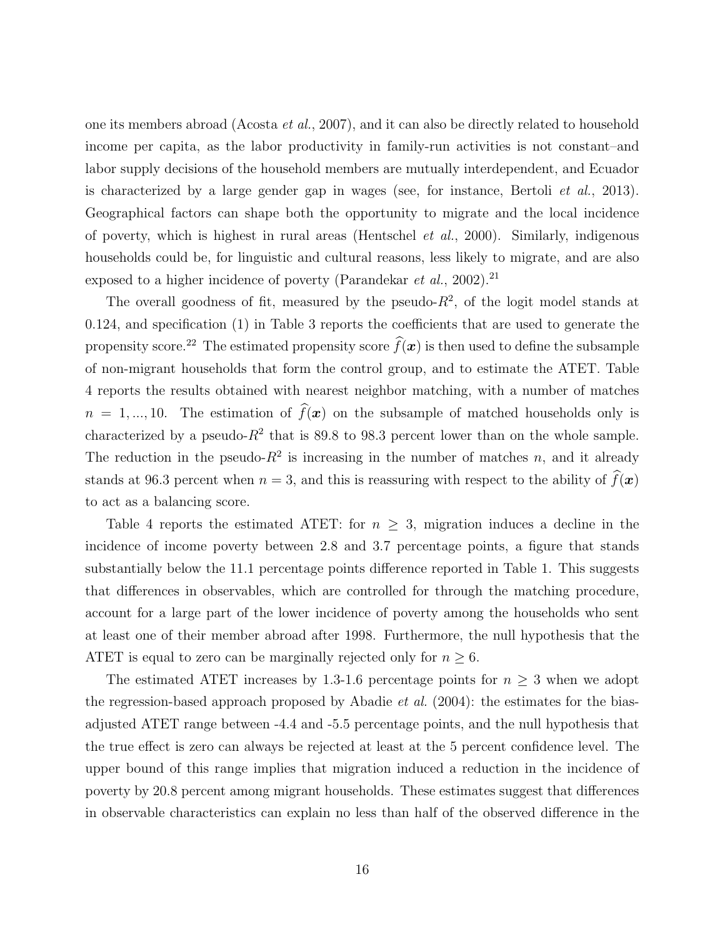one its members abroad (Acosta et al., 2007), and it can also be directly related to household income per capita, as the labor productivity in family-run activities is not constant–and labor supply decisions of the household members are mutually interdependent, and Ecuador is characterized by a large gender gap in wages (see, for instance, Bertoli et al., 2013). Geographical factors can shape both the opportunity to migrate and the local incidence of poverty, which is highest in rural areas (Hentschel *et al.*, 2000). Similarly, indigenous households could be, for linguistic and cultural reasons, less likely to migrate, and are also exposed to a higher incidence of poverty (Parandekar *et al.*, 2002).<sup>21</sup>

The overall goodness of fit, measured by the pseudo- $R^2$ , of the logit model stands at 0.124, and specification (1) in Table 3 reports the coefficients that are used to generate the propensity score.<sup>22</sup> The estimated propensity score  $\widehat{f}(\boldsymbol{x})$  is then used to define the subsample of non-migrant households that form the control group, and to estimate the ATET. Table 4 reports the results obtained with nearest neighbor matching, with a number of matches  $n = 1, ..., 10$ . The estimation of  $\widehat{f}(\boldsymbol{x})$  on the subsample of matched households only is characterized by a pseudo- $R^2$  that is 89.8 to 98.3 percent lower than on the whole sample. The reduction in the pseudo- $R^2$  is increasing in the number of matches n, and it already stands at 96.3 percent when  $n = 3$ , and this is reassuring with respect to the ability of  $\hat{f}(\boldsymbol{x})$ to act as a balancing score.

Table 4 reports the estimated ATET: for  $n \geq 3$ , migration induces a decline in the incidence of income poverty between 2.8 and 3.7 percentage points, a figure that stands substantially below the 11.1 percentage points difference reported in Table 1. This suggests that differences in observables, which are controlled for through the matching procedure, account for a large part of the lower incidence of poverty among the households who sent at least one of their member abroad after 1998. Furthermore, the null hypothesis that the ATET is equal to zero can be marginally rejected only for  $n \geq 6$ .

The estimated ATET increases by 1.3-1.6 percentage points for  $n \geq 3$  when we adopt the regression-based approach proposed by Abadie et al. (2004): the estimates for the biasadjusted ATET range between -4.4 and -5.5 percentage points, and the null hypothesis that the true effect is zero can always be rejected at least at the 5 percent confidence level. The upper bound of this range implies that migration induced a reduction in the incidence of poverty by 20.8 percent among migrant households. These estimates suggest that differences in observable characteristics can explain no less than half of the observed difference in the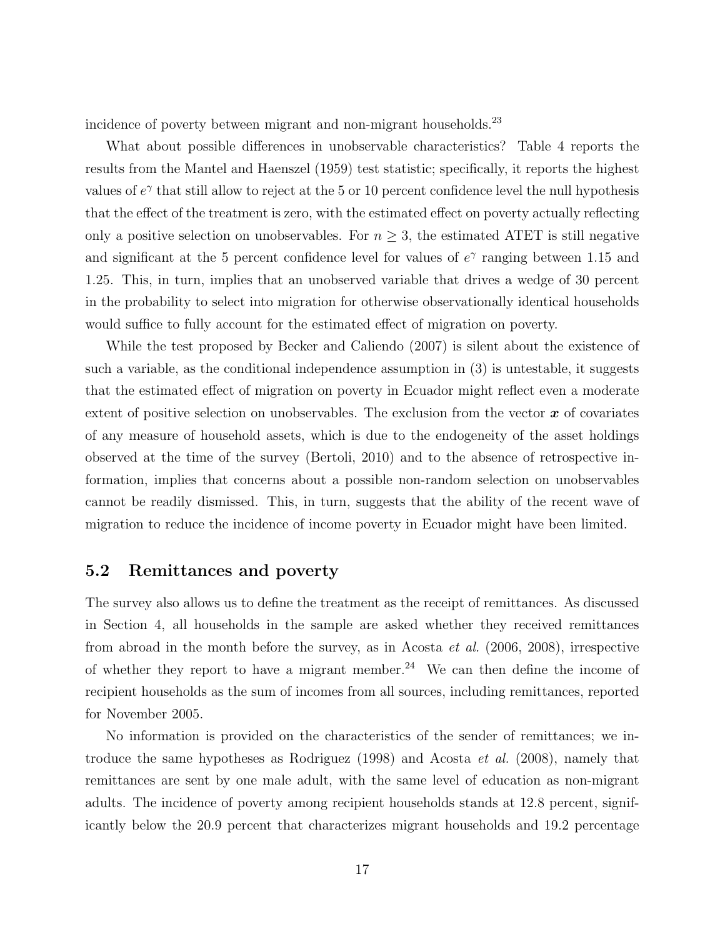incidence of poverty between migrant and non-migrant households.<sup>23</sup>

What about possible differences in unobservable characteristics? Table 4 reports the results from the Mantel and Haenszel (1959) test statistic; specifically, it reports the highest values of  $e^{\gamma}$  that still allow to reject at the 5 or 10 percent confidence level the null hypothesis that the effect of the treatment is zero, with the estimated effect on poverty actually reflecting only a positive selection on unobservables. For  $n \geq 3$ , the estimated ATET is still negative and significant at the 5 percent confidence level for values of  $e^{\gamma}$  ranging between 1.15 and 1.25. This, in turn, implies that an unobserved variable that drives a wedge of 30 percent in the probability to select into migration for otherwise observationally identical households would suffice to fully account for the estimated effect of migration on poverty.

While the test proposed by Becker and Caliendo (2007) is silent about the existence of such a variable, as the conditional independence assumption in (3) is untestable, it suggests that the estimated effect of migration on poverty in Ecuador might reflect even a moderate extent of positive selection on unobservables. The exclusion from the vector  $\boldsymbol{x}$  of covariates of any measure of household assets, which is due to the endogeneity of the asset holdings observed at the time of the survey (Bertoli, 2010) and to the absence of retrospective information, implies that concerns about a possible non-random selection on unobservables cannot be readily dismissed. This, in turn, suggests that the ability of the recent wave of migration to reduce the incidence of income poverty in Ecuador might have been limited.

### 5.2 Remittances and poverty

The survey also allows us to define the treatment as the receipt of remittances. As discussed in Section 4, all households in the sample are asked whether they received remittances from abroad in the month before the survey, as in Acosta et al. (2006, 2008), irrespective of whether they report to have a migrant member.<sup>24</sup> We can then define the income of recipient households as the sum of incomes from all sources, including remittances, reported for November 2005.

No information is provided on the characteristics of the sender of remittances; we introduce the same hypotheses as Rodriguez (1998) and Acosta et al. (2008), namely that remittances are sent by one male adult, with the same level of education as non-migrant adults. The incidence of poverty among recipient households stands at 12.8 percent, significantly below the 20.9 percent that characterizes migrant households and 19.2 percentage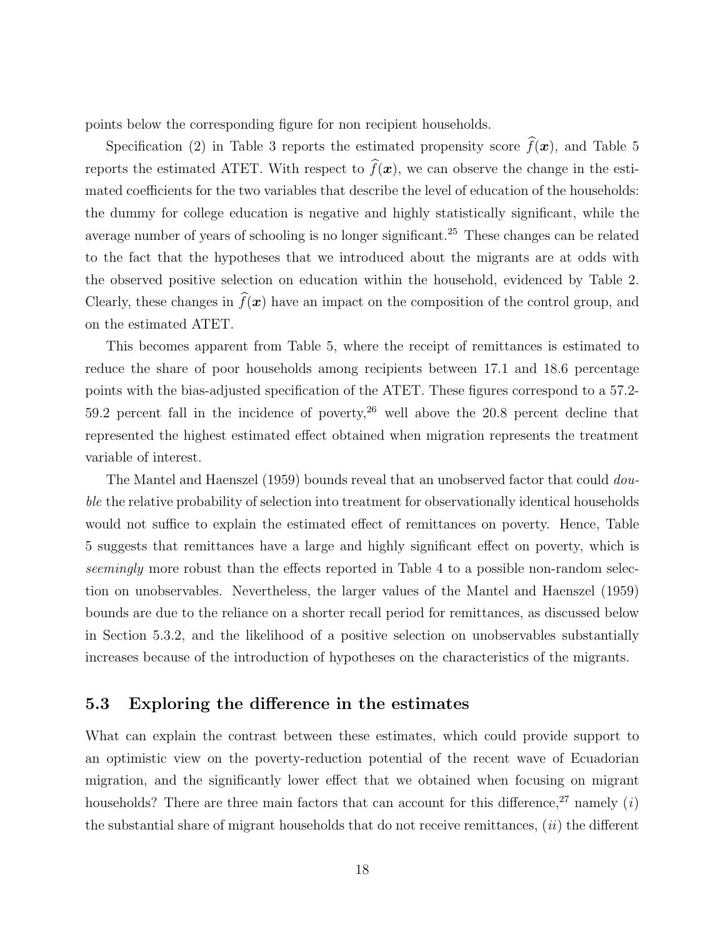points below the corresponding figure for non recipient households.

Specification (2) in Table 3 reports the estimated propensity score  $\hat{f}(\boldsymbol{x})$ , and Table 5 reports the estimated ATET. With respect to  $\widehat{f}(\boldsymbol{x})$ , we can observe the change in the estimated coefficients for the two variables that describe the level of education of the households: the dummy for college education is negative and highly statistically significant, while the average number of years of schooling is no longer significant.<sup>25</sup> These changes can be related to the fact that the hypotheses that we introduced about the migrants are at odds with the observed positive selection on education within the household, evidenced by Table 2. Clearly, these changes in  $\hat{f}(\boldsymbol{x})$  have an impact on the composition of the control group, and on the estimated ATET.

This becomes apparent from Table 5, where the receipt of remittances is estimated to reduce the share of poor households among recipients between 17.1 and 18.6 percentage points with the bias-adjusted specification of the ATET. These figures correspond to a 57.2- 59.2 percent fall in the incidence of poverty,  $26$  well above the 20.8 percent decline that represented the highest estimated effect obtained when migration represents the treatment variable of interest.

The Mantel and Haenszel (1959) bounds reveal that an unobserved factor that could *dou*ble the relative probability of selection into treatment for observationally identical households would not suffice to explain the estimated effect of remittances on poverty. Hence, Table 5 suggests that remittances have a large and highly significant effect on poverty, which is seemingly more robust than the effects reported in Table 4 to a possible non-random selection on unobservables. Nevertheless, the larger values of the Mantel and Haenszel (1959) bounds are due to the reliance on a shorter recall period for remittances, as discussed below in Section 5.3.2, and the likelihood of a positive selection on unobservables substantially increases because of the introduction of hypotheses on the characteristics of the migrants.

#### 5.3 Exploring the difference in the estimates

What can explain the contrast between these estimates, which could provide support to an optimistic view on the poverty-reduction potential of the recent wave of Ecuadorian migration, and the significantly lower effect that we obtained when focusing on migrant households? There are three main factors that can account for this difference,<sup>27</sup> namely (i) the substantial share of migrant households that do not receive remittances,  $(ii)$  the different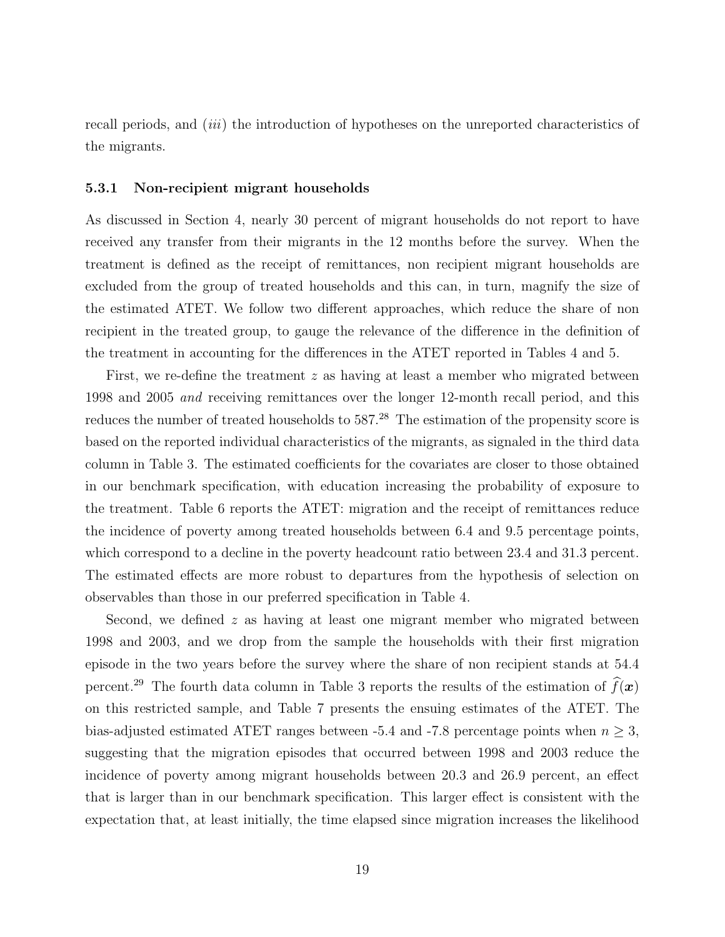recall periods, and *(iii)* the introduction of hypotheses on the unreported characteristics of the migrants.

#### 5.3.1 Non-recipient migrant households

As discussed in Section 4, nearly 30 percent of migrant households do not report to have received any transfer from their migrants in the 12 months before the survey. When the treatment is defined as the receipt of remittances, non recipient migrant households are excluded from the group of treated households and this can, in turn, magnify the size of the estimated ATET. We follow two different approaches, which reduce the share of non recipient in the treated group, to gauge the relevance of the difference in the definition of the treatment in accounting for the differences in the ATET reported in Tables 4 and 5.

First, we re-define the treatment z as having at least a member who migrated between 1998 and 2005 and receiving remittances over the longer 12-month recall period, and this reduces the number of treated households to 587.<sup>28</sup> The estimation of the propensity score is based on the reported individual characteristics of the migrants, as signaled in the third data column in Table 3. The estimated coefficients for the covariates are closer to those obtained in our benchmark specification, with education increasing the probability of exposure to the treatment. Table 6 reports the ATET: migration and the receipt of remittances reduce the incidence of poverty among treated households between 6.4 and 9.5 percentage points, which correspond to a decline in the poverty headcount ratio between 23.4 and 31.3 percent. The estimated effects are more robust to departures from the hypothesis of selection on observables than those in our preferred specification in Table 4.

Second, we defined  $z$  as having at least one migrant member who migrated between 1998 and 2003, and we drop from the sample the households with their first migration episode in the two years before the survey where the share of non recipient stands at 54.4 percent.<sup>29</sup> The fourth data column in Table 3 reports the results of the estimation of  $\widehat{f}(\boldsymbol{x})$ on this restricted sample, and Table 7 presents the ensuing estimates of the ATET. The bias-adjusted estimated ATET ranges between -5.4 and -7.8 percentage points when  $n \geq 3$ , suggesting that the migration episodes that occurred between 1998 and 2003 reduce the incidence of poverty among migrant households between 20.3 and 26.9 percent, an effect that is larger than in our benchmark specification. This larger effect is consistent with the expectation that, at least initially, the time elapsed since migration increases the likelihood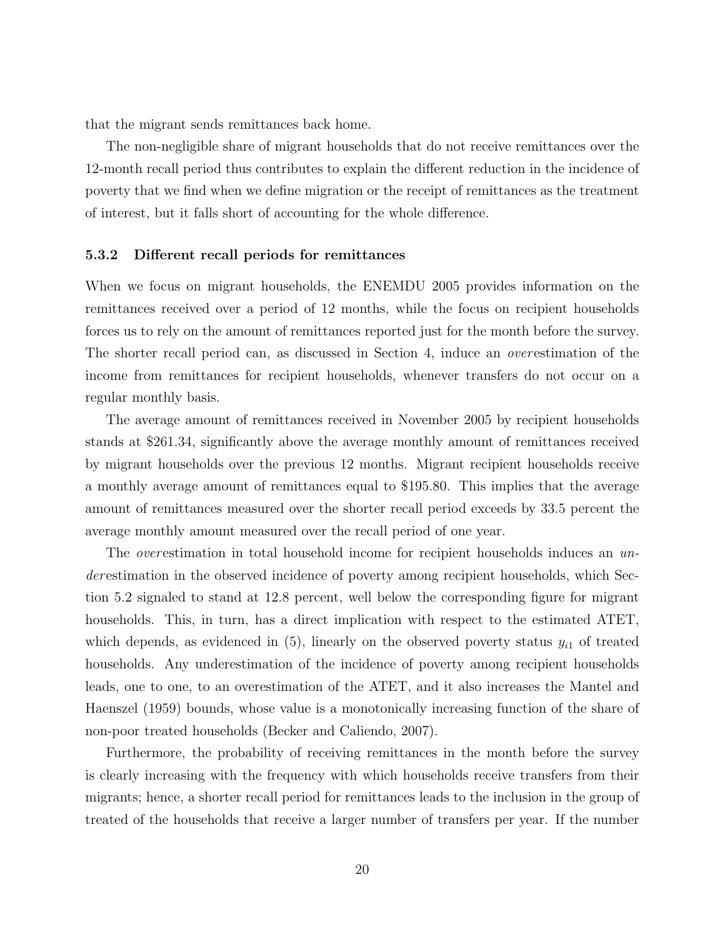that the migrant sends remittances back home.

The non-negligible share of migrant households that do not receive remittances over the 12-month recall period thus contributes to explain the different reduction in the incidence of poverty that we find when we define migration or the receipt of remittances as the treatment of interest, but it falls short of accounting for the whole difference.

#### 5.3.2 Different recall periods for remittances

When we focus on migrant households, the ENEMDU 2005 provides information on the remittances received over a period of 12 months, while the focus on recipient households forces us to rely on the amount of remittances reported just for the month before the survey. The shorter recall period can, as discussed in Section 4, induce an overestimation of the income from remittances for recipient households, whenever transfers do not occur on a regular monthly basis.

The average amount of remittances received in November 2005 by recipient households stands at \$261.34, significantly above the average monthly amount of remittances received by migrant households over the previous 12 months. Migrant recipient households receive a monthly average amount of remittances equal to \$195.80. This implies that the average amount of remittances measured over the shorter recall period exceeds by 33.5 percent the average monthly amount measured over the recall period of one year.

The *overestimation* in total household income for recipient households induces an underestimation in the observed incidence of poverty among recipient households, which Section 5.2 signaled to stand at 12.8 percent, well below the corresponding figure for migrant households. This, in turn, has a direct implication with respect to the estimated ATET, which depends, as evidenced in  $(5)$ , linearly on the observed poverty status  $y_{i1}$  of treated households. Any underestimation of the incidence of poverty among recipient households leads, one to one, to an overestimation of the ATET, and it also increases the Mantel and Haenszel (1959) bounds, whose value is a monotonically increasing function of the share of non-poor treated households (Becker and Caliendo, 2007).

Furthermore, the probability of receiving remittances in the month before the survey is clearly increasing with the frequency with which households receive transfers from their migrants; hence, a shorter recall period for remittances leads to the inclusion in the group of treated of the households that receive a larger number of transfers per year. If the number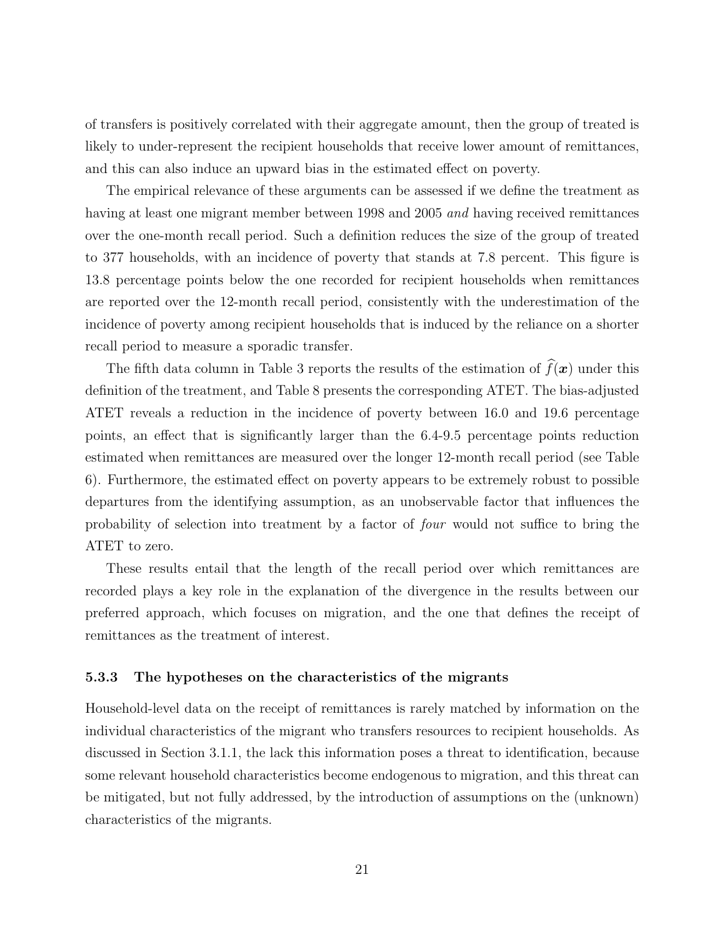of transfers is positively correlated with their aggregate amount, then the group of treated is likely to under-represent the recipient households that receive lower amount of remittances, and this can also induce an upward bias in the estimated effect on poverty.

The empirical relevance of these arguments can be assessed if we define the treatment as having at least one migrant member between 1998 and 2005 and having received remittances over the one-month recall period. Such a definition reduces the size of the group of treated to 377 households, with an incidence of poverty that stands at 7.8 percent. This figure is 13.8 percentage points below the one recorded for recipient households when remittances are reported over the 12-month recall period, consistently with the underestimation of the incidence of poverty among recipient households that is induced by the reliance on a shorter recall period to measure a sporadic transfer.

The fifth data column in Table 3 reports the results of the estimation of  $\widehat{f}(\boldsymbol{x})$  under this definition of the treatment, and Table 8 presents the corresponding ATET. The bias-adjusted ATET reveals a reduction in the incidence of poverty between 16.0 and 19.6 percentage points, an effect that is significantly larger than the 6.4-9.5 percentage points reduction estimated when remittances are measured over the longer 12-month recall period (see Table 6). Furthermore, the estimated effect on poverty appears to be extremely robust to possible departures from the identifying assumption, as an unobservable factor that influences the probability of selection into treatment by a factor of four would not suffice to bring the ATET to zero.

These results entail that the length of the recall period over which remittances are recorded plays a key role in the explanation of the divergence in the results between our preferred approach, which focuses on migration, and the one that defines the receipt of remittances as the treatment of interest.

#### 5.3.3 The hypotheses on the characteristics of the migrants

Household-level data on the receipt of remittances is rarely matched by information on the individual characteristics of the migrant who transfers resources to recipient households. As discussed in Section 3.1.1, the lack this information poses a threat to identification, because some relevant household characteristics become endogenous to migration, and this threat can be mitigated, but not fully addressed, by the introduction of assumptions on the (unknown) characteristics of the migrants.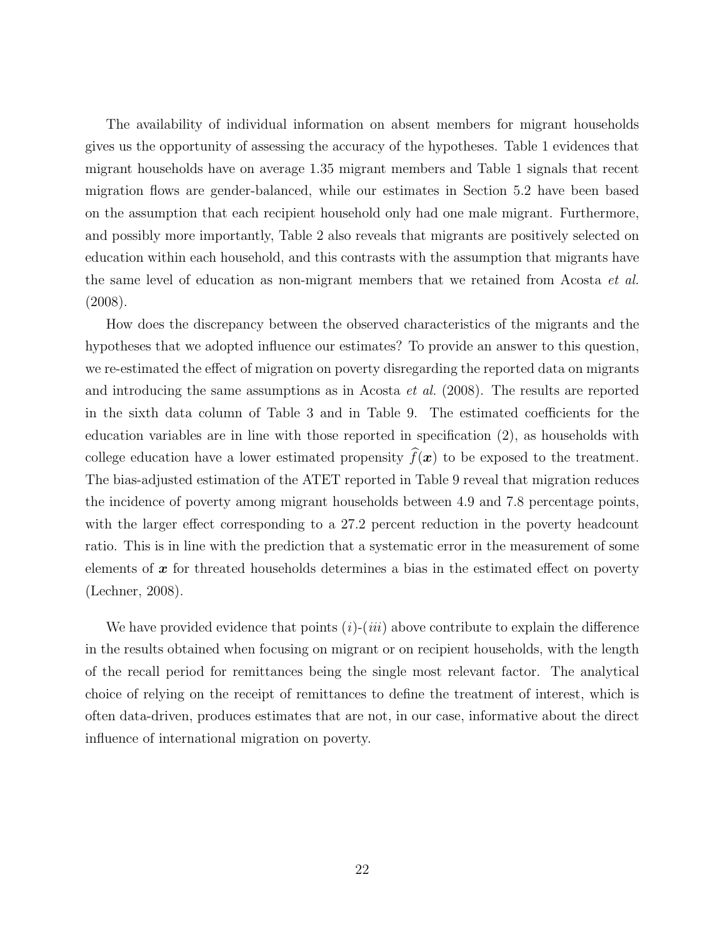The availability of individual information on absent members for migrant households gives us the opportunity of assessing the accuracy of the hypotheses. Table 1 evidences that migrant households have on average 1.35 migrant members and Table 1 signals that recent migration flows are gender-balanced, while our estimates in Section 5.2 have been based on the assumption that each recipient household only had one male migrant. Furthermore, and possibly more importantly, Table 2 also reveals that migrants are positively selected on education within each household, and this contrasts with the assumption that migrants have the same level of education as non-migrant members that we retained from Acosta et al. (2008).

How does the discrepancy between the observed characteristics of the migrants and the hypotheses that we adopted influence our estimates? To provide an answer to this question, we re-estimated the effect of migration on poverty disregarding the reported data on migrants and introducing the same assumptions as in Acosta et al. (2008). The results are reported in the sixth data column of Table 3 and in Table 9. The estimated coefficients for the education variables are in line with those reported in specification (2), as households with college education have a lower estimated propensity  $\widehat{f}(\boldsymbol{x})$  to be exposed to the treatment. The bias-adjusted estimation of the ATET reported in Table 9 reveal that migration reduces the incidence of poverty among migrant households between 4.9 and 7.8 percentage points, with the larger effect corresponding to a 27.2 percent reduction in the poverty headcount ratio. This is in line with the prediction that a systematic error in the measurement of some elements of  $x$  for threated households determines a bias in the estimated effect on poverty (Lechner, 2008).

We have provided evidence that points  $(i)$ - $(iii)$  above contribute to explain the difference in the results obtained when focusing on migrant or on recipient households, with the length of the recall period for remittances being the single most relevant factor. The analytical choice of relying on the receipt of remittances to define the treatment of interest, which is often data-driven, produces estimates that are not, in our case, informative about the direct influence of international migration on poverty.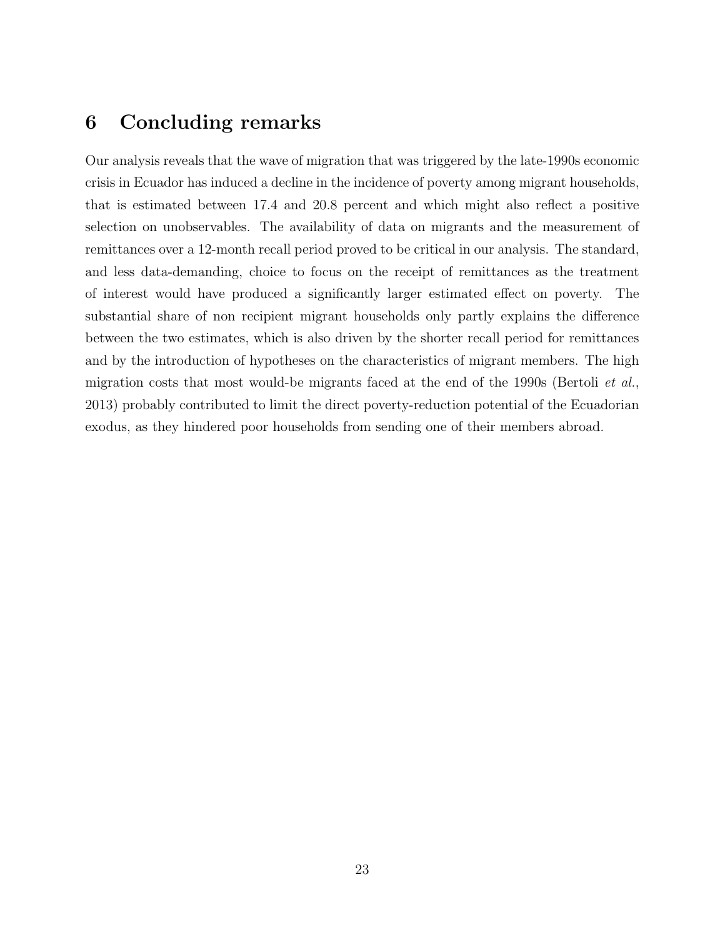## 6 Concluding remarks

Our analysis reveals that the wave of migration that was triggered by the late-1990s economic crisis in Ecuador has induced a decline in the incidence of poverty among migrant households, that is estimated between 17.4 and 20.8 percent and which might also reflect a positive selection on unobservables. The availability of data on migrants and the measurement of remittances over a 12-month recall period proved to be critical in our analysis. The standard, and less data-demanding, choice to focus on the receipt of remittances as the treatment of interest would have produced a significantly larger estimated effect on poverty. The substantial share of non recipient migrant households only partly explains the difference between the two estimates, which is also driven by the shorter recall period for remittances and by the introduction of hypotheses on the characteristics of migrant members. The high migration costs that most would-be migrants faced at the end of the 1990s (Bertoli et al., 2013) probably contributed to limit the direct poverty-reduction potential of the Ecuadorian exodus, as they hindered poor households from sending one of their members abroad.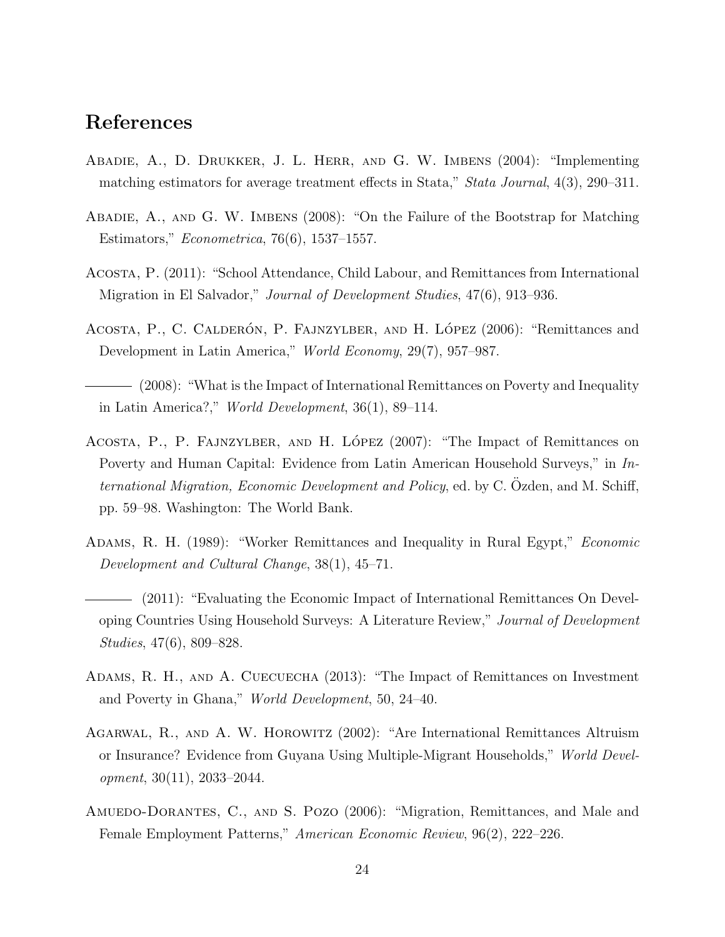## References

- Abadie, A., D. Drukker, J. L. Herr, and G. W. Imbens (2004): "Implementing matching estimators for average treatment effects in Stata," Stata Journal, 4(3), 290–311.
- Abadie, A., and G. W. Imbens (2008): "On the Failure of the Bootstrap for Matching Estimators," Econometrica, 76(6), 1537–1557.
- Acosta, P. (2011): "School Attendance, Child Labour, and Remittances from International Migration in El Salvador," Journal of Development Studies, 47(6), 913–936.
- ACOSTA, P., C. CALDERÓN, P. FAJNZYLBER, AND H. LÓPEZ (2006): "Remittances and Development in Latin America," World Economy, 29(7), 957–987.
- (2008): "What is the Impact of International Remittances on Poverty and Inequality in Latin America?," World Development, 36(1), 89–114.
- ACOSTA, P., P. FAJNZYLBER, AND H. LÓPEZ (2007): "The Impact of Remittances on Poverty and Human Capital: Evidence from Latin American Household Surveys," in International Migration, Economic Development and Policy, ed. by C. Ozden, and M. Schiff, pp. 59–98. Washington: The World Bank.
- Adams, R. H. (1989): "Worker Remittances and Inequality in Rural Egypt," Economic Development and Cultural Change, 38(1), 45–71.
- (2011): "Evaluating the Economic Impact of International Remittances On Developing Countries Using Household Surveys: A Literature Review," Journal of Development Studies, 47(6), 809–828.
- Adams, R. H., and A. Cuecuecha (2013): "The Impact of Remittances on Investment and Poverty in Ghana," World Development, 50, 24–40.
- Agarwal, R., and A. W. Horowitz (2002): "Are International Remittances Altruism or Insurance? Evidence from Guyana Using Multiple-Migrant Households," World Devel $opment, 30(11), 2033-2044.$
- AMUEDO-DORANTES, C., AND S. POZO (2006): "Migration, Remittances, and Male and Female Employment Patterns," American Economic Review, 96(2), 222–226.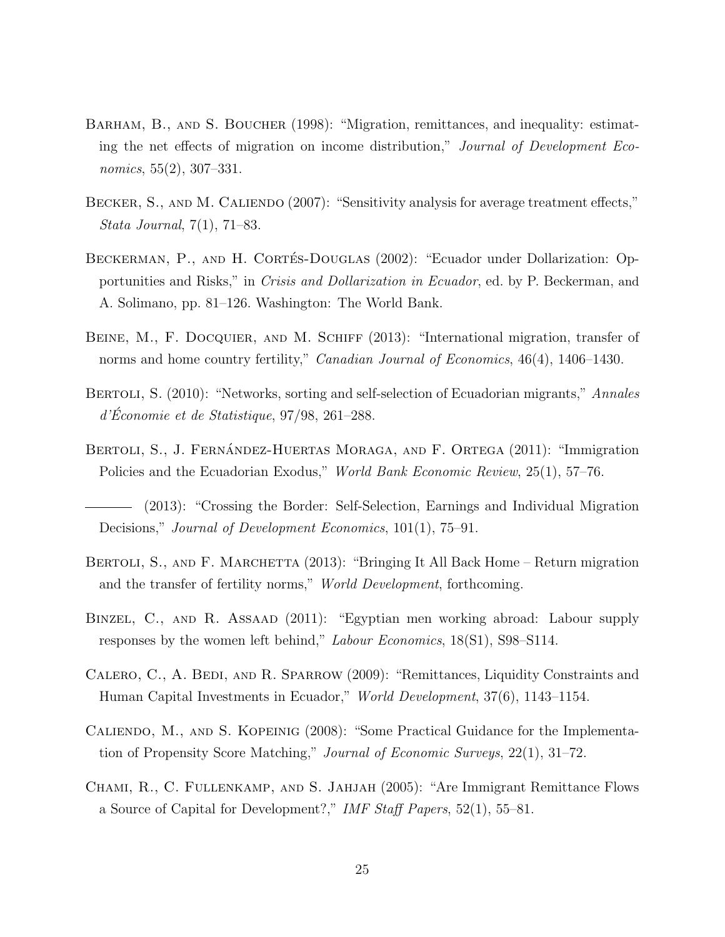- BARHAM, B., AND S. BOUCHER (1998): "Migration, remittances, and inequality: estimating the net effects of migration on income distribution," Journal of Development Economics, 55(2), 307–331.
- BECKER, S., AND M. CALIENDO (2007): "Sensitivity analysis for average treatment effects," Stata Journal, 7(1), 71–83.
- BECKERMAN, P., AND H. CORTÉS-DOUGLAS (2002): "Ecuador under Dollarization: Opportunities and Risks," in Crisis and Dollarization in Ecuador, ed. by P. Beckerman, and A. Solimano, pp. 81–126. Washington: The World Bank.
- BEINE, M., F. DOCQUIER, AND M. SCHIFF (2013): "International migration, transfer of norms and home country fertility," *Canadian Journal of Economics*, 46(4), 1406–1430.
- BERTOLI, S. (2010): "Networks, sorting and self-selection of Ecuadorian migrants," Annales  $d'Économie et de Statistique, 97/98, 261-288.$
- BERTOLI, S., J. FERNÁNDEZ-HUERTAS MORAGA, AND F. ORTEGA (2011): "Immigration Policies and the Ecuadorian Exodus," World Bank Economic Review, 25(1), 57–76.
- (2013): "Crossing the Border: Self-Selection, Earnings and Individual Migration Decisions," *Journal of Development Economics*, 101(1), 75–91.
- BERTOLI, S., AND F. MARCHETTA (2013): "Bringing It All Back Home Return migration and the transfer of fertility norms," World Development, forthcoming.
- Binzel, C., and R. Assaad (2011): "Egyptian men working abroad: Labour supply responses by the women left behind," Labour Economics, 18(S1), S98–S114.
- CALERO, C., A. BEDI, AND R. SPARROW (2009): "Remittances, Liquidity Constraints and Human Capital Investments in Ecuador," World Development, 37(6), 1143–1154.
- Caliendo, M., and S. Kopeinig (2008): "Some Practical Guidance for the Implementation of Propensity Score Matching," Journal of Economic Surveys, 22(1), 31–72.
- Chami, R., C. Fullenkamp, and S. Jahjah (2005): "Are Immigrant Remittance Flows a Source of Capital for Development?," IMF Staff Papers, 52(1), 55–81.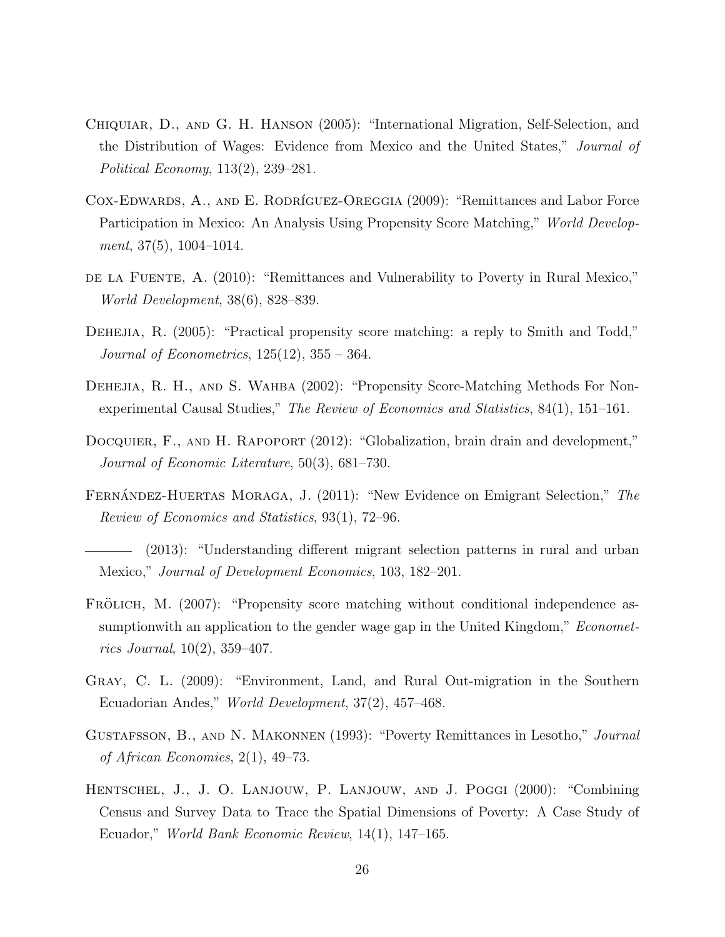- Chiquiar, D., and G. H. Hanson (2005): "International Migration, Self-Selection, and the Distribution of Wages: Evidence from Mexico and the United States," Journal of Political Economy, 113(2), 239–281.
- COX-EDWARDS, A., AND E. RODRÍGUEZ-OREGGIA (2009): "Remittances and Labor Force Participation in Mexico: An Analysis Using Propensity Score Matching," *World Develop*ment,  $37(5)$ ,  $1004-1014$ .
- de la Fuente, A. (2010): "Remittances and Vulnerability to Poverty in Rural Mexico," World Development, 38(6), 828–839.
- DEHEJIA, R. (2005): "Practical propensity score matching: a reply to Smith and Todd," Journal of Econometrics,  $125(12)$ ,  $355 - 364$ .
- DEHEJIA, R. H., AND S. WAHBA (2002): "Propensity Score-Matching Methods For Nonexperimental Causal Studies," The Review of Economics and Statistics, 84(1), 151–161.
- DOCQUIER, F., AND H. RAPOPORT (2012): "Globalization, brain drain and development," Journal of Economic Literature, 50(3), 681–730.
- FERNANDEZ-HUERTAS MORAGA, J. (2011): "New Evidence on Emigrant Selection," The Review of Economics and Statistics, 93(1), 72–96.
- (2013): "Understanding different migrant selection patterns in rural and urban Mexico," Journal of Development Economics, 103, 182–201.
- FRÖLICH, M. (2007): "Propensity score matching without conditional independence assumptionwith an application to the gender wage gap in the United Kingdom," *Economet*rics Journal, 10(2), 359–407.
- Gray, C. L. (2009): "Environment, Land, and Rural Out-migration in the Southern Ecuadorian Andes," World Development, 37(2), 457–468.
- Gustafsson, B., and N. Makonnen (1993): "Poverty Remittances in Lesotho," Journal of African Economies, 2(1), 49–73.
- Hentschel, J., J. O. Lanjouw, P. Lanjouw, and J. Poggi (2000): "Combining Census and Survey Data to Trace the Spatial Dimensions of Poverty: A Case Study of Ecuador," World Bank Economic Review, 14(1), 147–165.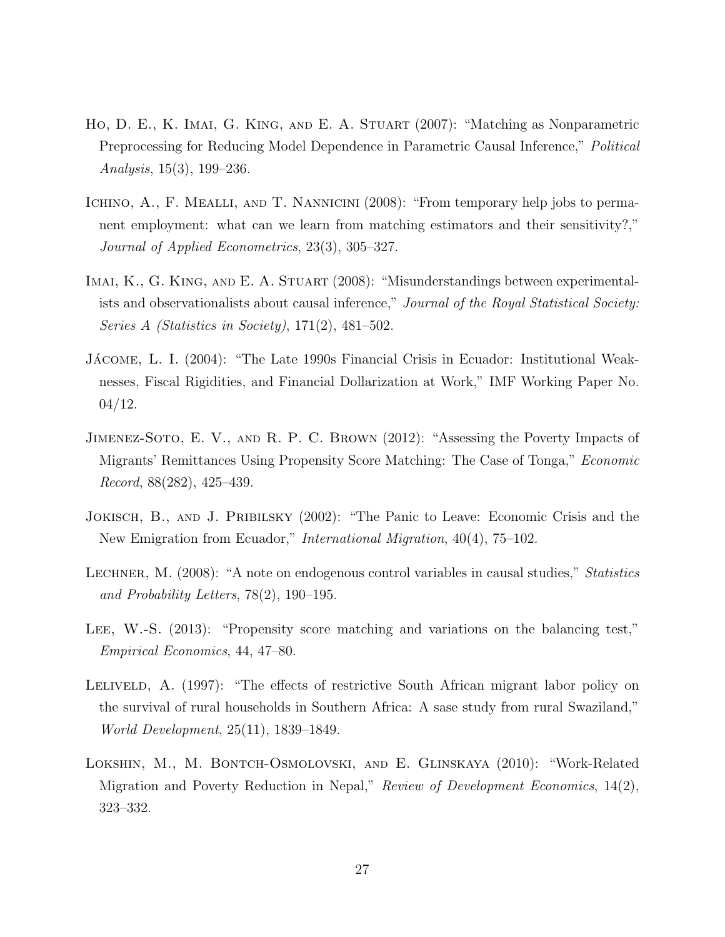- Ho, D. E., K. Imai, G. King, and E. A. Stuart (2007): "Matching as Nonparametric Preprocessing for Reducing Model Dependence in Parametric Causal Inference," *Political* Analysis, 15(3), 199–236.
- ICHINO, A., F. MEALLI, AND T. NANNICINI (2008): "From temporary help jobs to permanent employment: what can we learn from matching estimators and their sensitivity?," Journal of Applied Econometrics, 23(3), 305–327.
- IMAI, K., G. KING, AND E. A. STUART (2008): "Misunderstandings between experimentalists and observationalists about causal inference," Journal of the Royal Statistical Society: Series A (Statistics in Society), 171(2), 481–502.
- JÁCOME, L. I. (2004): "The Late 1990s Financial Crisis in Ecuador: Institutional Weaknesses, Fiscal Rigidities, and Financial Dollarization at Work," IMF Working Paper No. 04/12.
- Jimenez-Soto, E. V., and R. P. C. Brown (2012): "Assessing the Poverty Impacts of Migrants' Remittances Using Propensity Score Matching: The Case of Tonga," Economic Record, 88(282), 425–439.
- JOKISCH, B., AND J. PRIBILSKY (2002): "The Panic to Leave: Economic Crisis and the New Emigration from Ecuador," International Migration, 40(4), 75–102.
- LECHNER, M. (2008): "A note on endogenous control variables in causal studies," Statistics and Probability Letters, 78(2), 190–195.
- LEE, W.-S. (2013): "Propensity score matching and variations on the balancing test," Empirical Economics, 44, 47–80.
- LELIVELD, A. (1997): "The effects of restrictive South African migrant labor policy on the survival of rural households in Southern Africa: A sase study from rural Swaziland," World Development, 25(11), 1839–1849.
- Lokshin, M., M. Bontch-Osmolovski, and E. Glinskaya (2010): "Work-Related Migration and Poverty Reduction in Nepal," Review of Development Economics, 14(2), 323–332.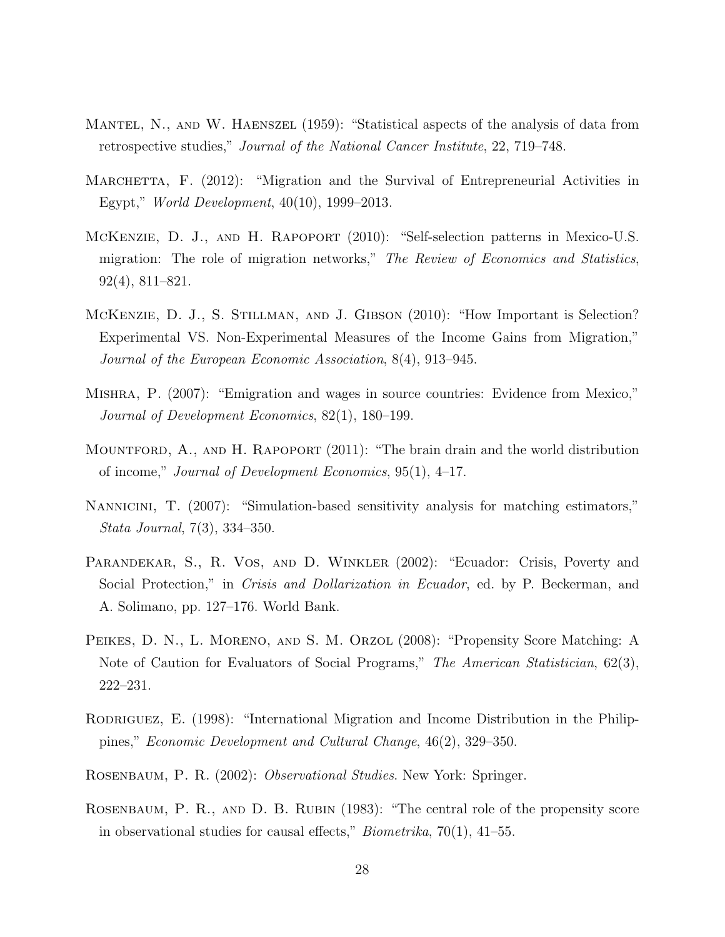- Mantel, N., and W. Haenszel (1959): "Statistical aspects of the analysis of data from retrospective studies," Journal of the National Cancer Institute, 22, 719–748.
- MARCHETTA, F. (2012): "Migration and the Survival of Entrepreneurial Activities in Egypt," World Development, 40(10), 1999–2013.
- McKenzie, D. J., and H. Rapoport (2010): "Self-selection patterns in Mexico-U.S. migration: The role of migration networks," The Review of Economics and Statistics, 92(4), 811–821.
- McKenzie, D. J., S. Stillman, and J. Gibson (2010): "How Important is Selection? Experimental VS. Non-Experimental Measures of the Income Gains from Migration," Journal of the European Economic Association, 8(4), 913–945.
- Mishra, P. (2007): "Emigration and wages in source countries: Evidence from Mexico," Journal of Development Economics, 82(1), 180–199.
- MOUNTFORD, A., AND H. RAPOPORT (2011): "The brain drain and the world distribution of income," Journal of Development Economics, 95(1), 4–17.
- Nannicini, T. (2007): "Simulation-based sensitivity analysis for matching estimators," Stata Journal, 7(3), 334–350.
- PARANDEKAR, S., R. VOS, AND D. WINKLER (2002): "Ecuador: Crisis, Poverty and Social Protection," in Crisis and Dollarization in Ecuador, ed. by P. Beckerman, and A. Solimano, pp. 127–176. World Bank.
- PEIKES, D. N., L. MORENO, AND S. M. ORZOL (2008): "Propensity Score Matching: A Note of Caution for Evaluators of Social Programs," The American Statistician, 62(3), 222–231.
- RODRIGUEZ, E. (1998): "International Migration and Income Distribution in the Philippines," Economic Development and Cultural Change, 46(2), 329–350.
- Rosenbaum, P. R. (2002): Observational Studies. New York: Springer.
- Rosenbaum, P. R., and D. B. Rubin (1983): "The central role of the propensity score in observational studies for causal effects," Biometrika, 70(1), 41–55.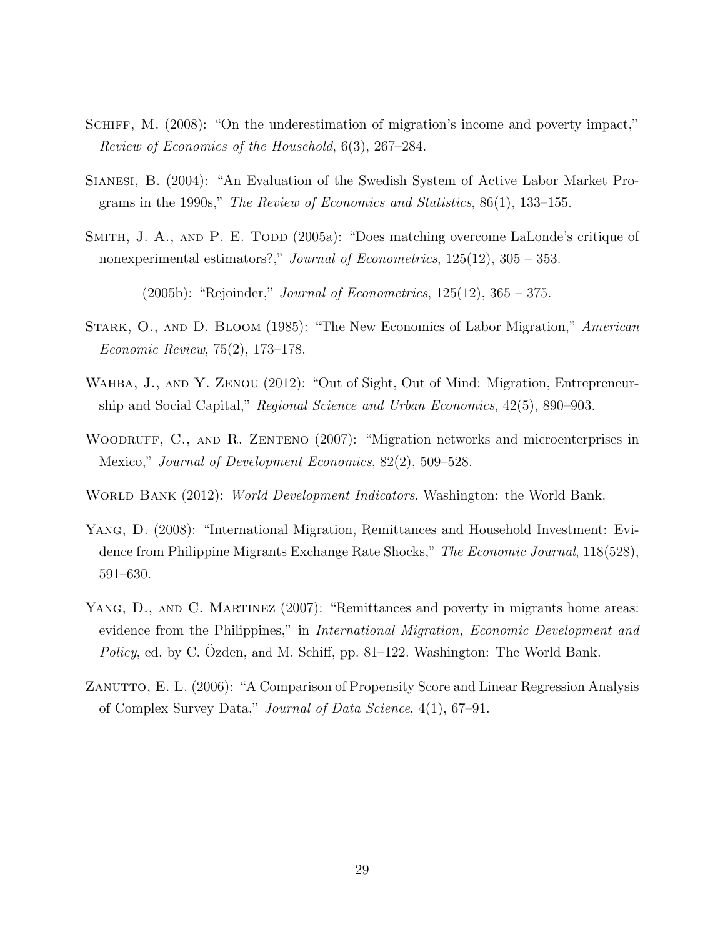- SCHIFF, M. (2008): "On the underestimation of migration's income and poverty impact," Review of Economics of the Household, 6(3), 267–284.
- Sianesi, B. (2004): "An Evaluation of the Swedish System of Active Labor Market Programs in the 1990s," The Review of Economics and Statistics,  $86(1)$ , 133–155.
- SMITH, J. A., AND P. E. TODD  $(2005a)$ : "Does matching overcome LaLonde's critique of nonexperimental estimators?," *Journal of Econometrics*,  $125(12)$ ,  $305 - 353$ .

(2005b): "Rejoinder," Journal of Econometrics,  $125(12)$ ,  $365 - 375$ .

- STARK, O., AND D. BLOOM (1985): "The New Economics of Labor Migration," American Economic Review, 75(2), 173–178.
- WAHBA, J., AND Y. ZENOU (2012): "Out of Sight, Out of Mind: Migration, Entrepreneurship and Social Capital," Regional Science and Urban Economics, 42(5), 890–903.
- WOODRUFF, C., AND R. ZENTENO (2007): "Migration networks and microenterprises in Mexico," Journal of Development Economics, 82(2), 509–528.

WORLD BANK (2012): *World Development Indicators*. Washington: the World Bank.

- Yang, D. (2008): "International Migration, Remittances and Household Investment: Evidence from Philippine Migrants Exchange Rate Shocks," The Economic Journal, 118(528), 591–630.
- YANG, D., AND C. MARTINEZ (2007): "Remittances and poverty in migrants home areas: evidence from the Philippines," in International Migration, Economic Development and Policy, ed. by C. Ozden, and M. Schiff, pp. 81–122. Washington: The World Bank.
- ZANUTTO, E. L. (2006): "A Comparison of Propensity Score and Linear Regression Analysis of Complex Survey Data," Journal of Data Science, 4(1), 67–91.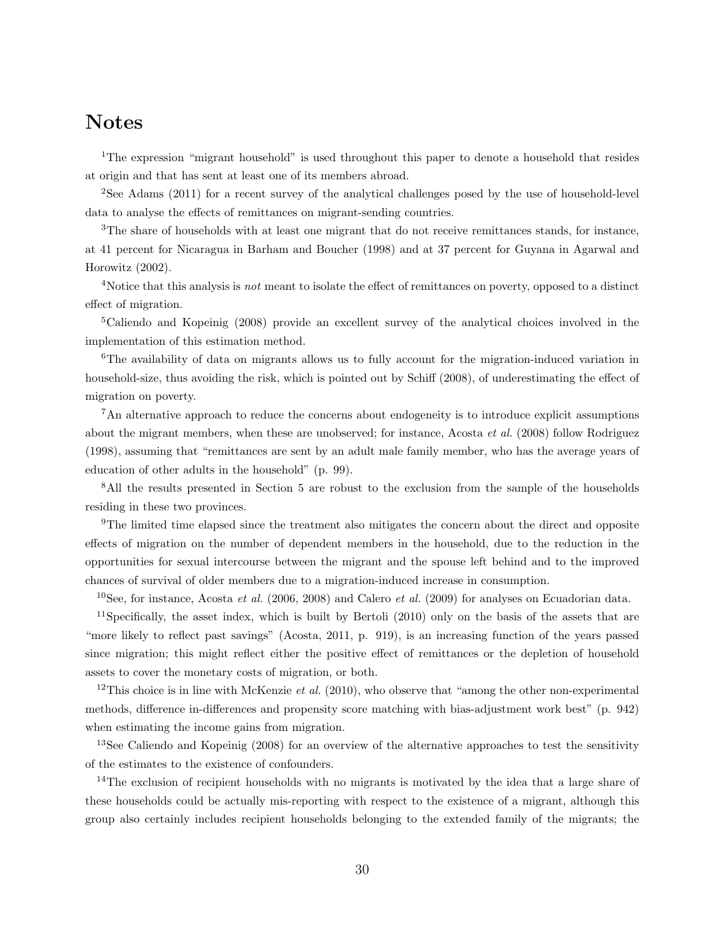## Notes

<sup>1</sup>The expression "migrant household" is used throughout this paper to denote a household that resides at origin and that has sent at least one of its members abroad.

<sup>2</sup>See Adams (2011) for a recent survey of the analytical challenges posed by the use of household-level data to analyse the effects of remittances on migrant-sending countries.

<sup>3</sup>The share of households with at least one migrant that do not receive remittances stands, for instance, at 41 percent for Nicaragua in Barham and Boucher (1998) and at 37 percent for Guyana in Agarwal and Horowitz (2002).

<sup>4</sup>Notice that this analysis is *not* meant to isolate the effect of remittances on poverty, opposed to a distinct effect of migration.

<sup>5</sup>Caliendo and Kopeinig (2008) provide an excellent survey of the analytical choices involved in the implementation of this estimation method.

<sup>6</sup>The availability of data on migrants allows us to fully account for the migration-induced variation in household-size, thus avoiding the risk, which is pointed out by Schiff (2008), of underestimating the effect of migration on poverty.

<sup>7</sup>An alternative approach to reduce the concerns about endogeneity is to introduce explicit assumptions about the migrant members, when these are unobserved; for instance, Acosta et al. (2008) follow Rodriguez (1998), assuming that "remittances are sent by an adult male family member, who has the average years of education of other adults in the household" (p. 99).

<sup>8</sup>All the results presented in Section 5 are robust to the exclusion from the sample of the households residing in these two provinces.

<sup>9</sup>The limited time elapsed since the treatment also mitigates the concern about the direct and opposite effects of migration on the number of dependent members in the household, due to the reduction in the opportunities for sexual intercourse between the migrant and the spouse left behind and to the improved chances of survival of older members due to a migration-induced increase in consumption.

<sup>10</sup>See, for instance, Acosta et al. (2006, 2008) and Calero et al. (2009) for analyses on Ecuadorian data.

<sup>11</sup>Specifically, the asset index, which is built by Bertoli (2010) only on the basis of the assets that are "more likely to reflect past savings" (Acosta, 2011, p. 919), is an increasing function of the years passed since migration; this might reflect either the positive effect of remittances or the depletion of household assets to cover the monetary costs of migration, or both.

<sup>12</sup>This choice is in line with McKenzie *et al.* (2010), who observe that "among the other non-experimental methods, difference in-differences and propensity score matching with bias-adjustment work best" (p. 942) when estimating the income gains from migration.

<sup>13</sup>See Caliendo and Kopeinig (2008) for an overview of the alternative approaches to test the sensitivity of the estimates to the existence of confounders.

<sup>14</sup>The exclusion of recipient households with no migrants is motivated by the idea that a large share of these households could be actually mis-reporting with respect to the existence of a migrant, although this group also certainly includes recipient households belonging to the extended family of the migrants; the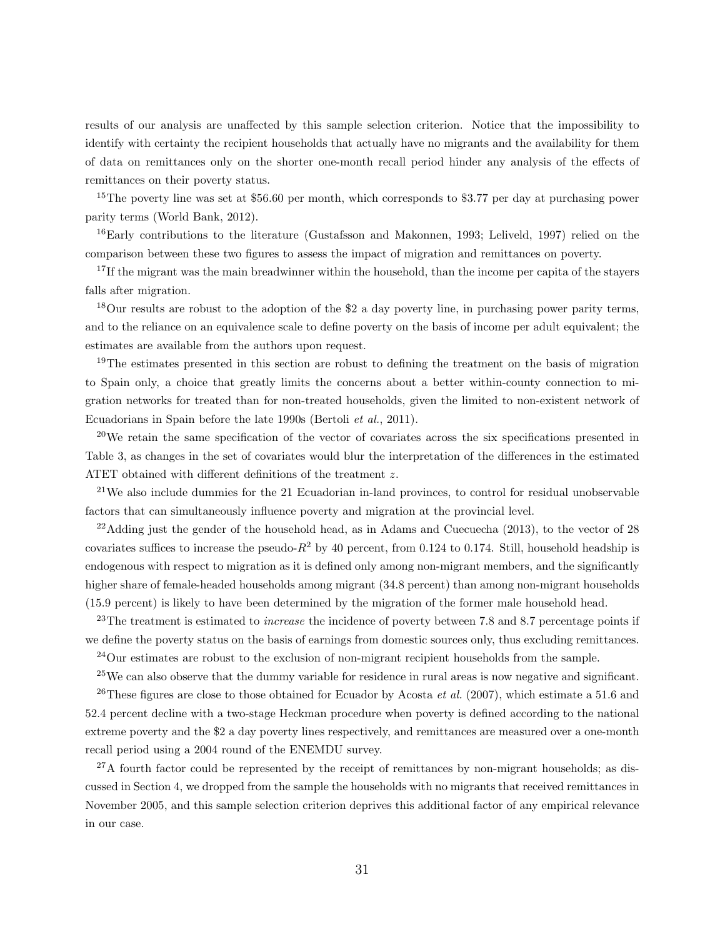results of our analysis are unaffected by this sample selection criterion. Notice that the impossibility to identify with certainty the recipient households that actually have no migrants and the availability for them of data on remittances only on the shorter one-month recall period hinder any analysis of the effects of remittances on their poverty status.

<sup>15</sup>The poverty line was set at \$56.60 per month, which corresponds to \$3.77 per day at purchasing power parity terms (World Bank, 2012).

<sup>16</sup>Early contributions to the literature (Gustafsson and Makonnen, 1993; Leliveld, 1997) relied on the comparison between these two figures to assess the impact of migration and remittances on poverty.

<sup>17</sup>If the migrant was the main breadwinner within the household, than the income per capita of the stayers falls after migration.

<sup>18</sup>Our results are robust to the adoption of the \$2 a day poverty line, in purchasing power parity terms, and to the reliance on an equivalence scale to define poverty on the basis of income per adult equivalent; the estimates are available from the authors upon request.

<sup>19</sup>The estimates presented in this section are robust to defining the treatment on the basis of migration to Spain only, a choice that greatly limits the concerns about a better within-county connection to migration networks for treated than for non-treated households, given the limited to non-existent network of Ecuadorians in Spain before the late 1990s (Bertoli et al., 2011).

 $^{20}$ We retain the same specification of the vector of covariates across the six specifications presented in Table 3, as changes in the set of covariates would blur the interpretation of the differences in the estimated ATET obtained with different definitions of the treatment z.

<sup>21</sup>We also include dummies for the 21 Ecuadorian in-land provinces, to control for residual unobservable factors that can simultaneously influence poverty and migration at the provincial level.

 $^{22}$ Adding just the gender of the household head, as in Adams and Cuecuecha (2013), to the vector of 28 covariates suffices to increase the pseudo- $R^2$  by 40 percent, from 0.124 to 0.174. Still, household headship is endogenous with respect to migration as it is defined only among non-migrant members, and the significantly higher share of female-headed households among migrant (34.8 percent) than among non-migrant households (15.9 percent) is likely to have been determined by the migration of the former male household head.

<sup>23</sup>The treatment is estimated to *increase* the incidence of poverty between 7.8 and 8.7 percentage points if we define the poverty status on the basis of earnings from domestic sources only, thus excluding remittances.

<sup>24</sup>Our estimates are robust to the exclusion of non-migrant recipient households from the sample.

 $25$ We can also observe that the dummy variable for residence in rural areas is now negative and significant. <sup>26</sup>These figures are close to those obtained for Ecuador by Acosta *et al.* (2007), which estimate a 51.6 and 52.4 percent decline with a two-stage Heckman procedure when poverty is defined according to the national extreme poverty and the \$2 a day poverty lines respectively, and remittances are measured over a one-month recall period using a 2004 round of the ENEMDU survey.

 $27A$  fourth factor could be represented by the receipt of remittances by non-migrant households; as discussed in Section 4, we dropped from the sample the households with no migrants that received remittances in November 2005, and this sample selection criterion deprives this additional factor of any empirical relevance in our case.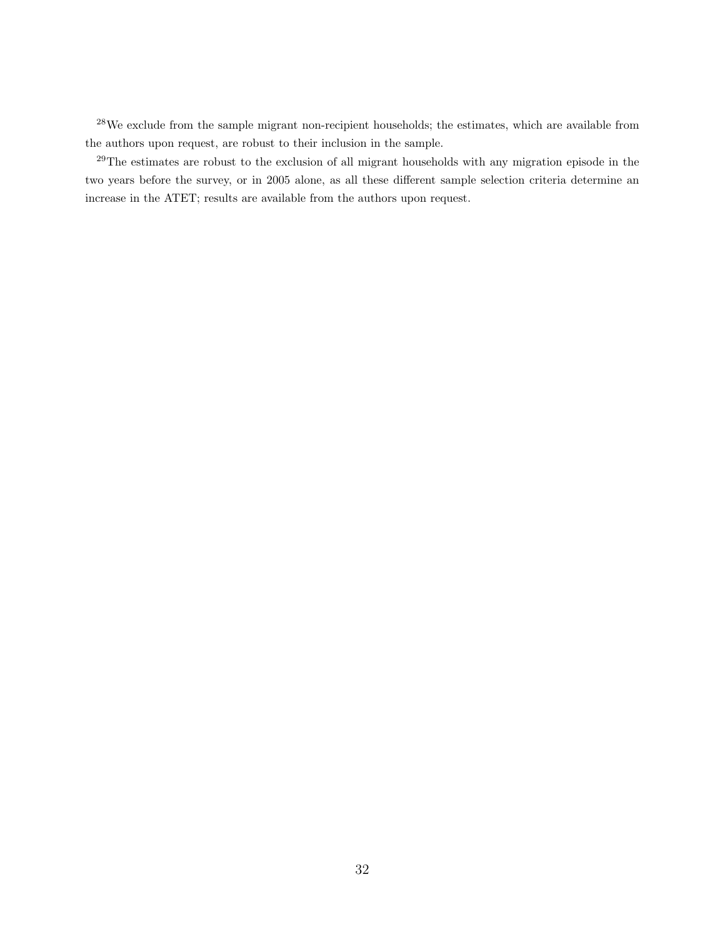<sup>28</sup>We exclude from the sample migrant non-recipient households; the estimates, which are available from the authors upon request, are robust to their inclusion in the sample.

<sup>29</sup>The estimates are robust to the exclusion of all migrant households with any migration episode in the two years before the survey, or in 2005 alone, as all these different sample selection criteria determine an increase in the ATET; results are available from the authors upon request.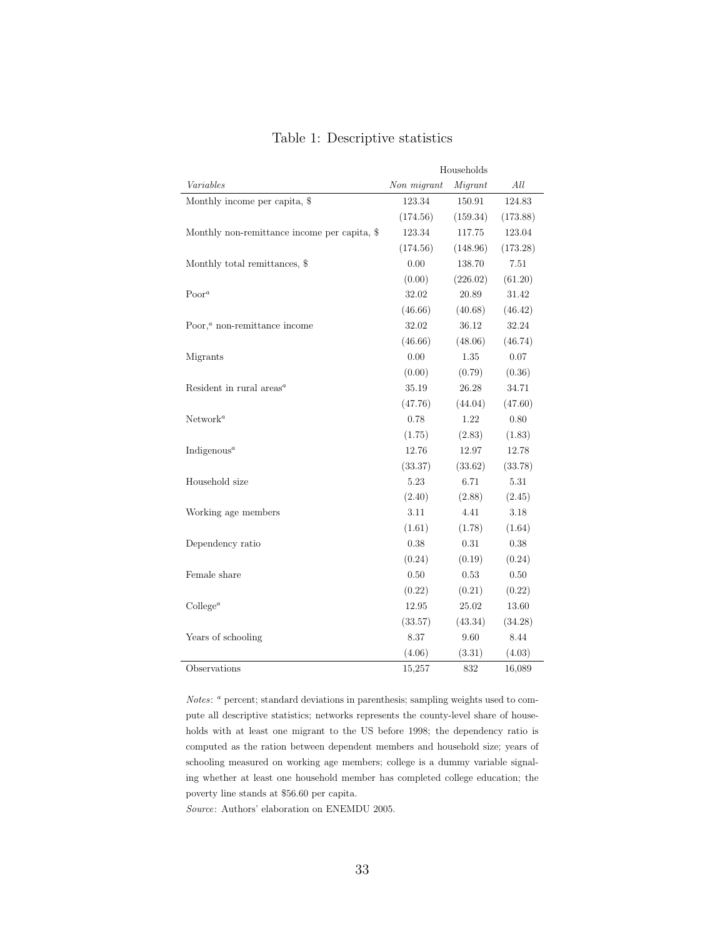|                                              | Households  |          |          |  |
|----------------------------------------------|-------------|----------|----------|--|
| Variables                                    | Non migrant | Migrant  | All      |  |
| Monthly income per capita, \$                | 123.34      | 150.91   | 124.83   |  |
|                                              | (174.56)    | (159.34) | (173.88) |  |
| Monthly non-remittance income per capita, \$ | 123.34      | 117.75   | 123.04   |  |
|                                              | (174.56)    | (148.96) | (173.28) |  |
| Monthly total remittances, \$                | 0.00        | 138.70   | $7.51\,$ |  |
|                                              | (0.00)      | (226.02) | (61.20)  |  |
| $Poor^a$                                     | 32.02       | 20.89    | 31.42    |  |
|                                              | (46.66)     | (40.68)  | (46.42)  |  |
| Poor, $a$ non-remittance income              | 32.02       | 36.12    | 32.24    |  |
|                                              | (46.66)     | (48.06)  | (46.74)  |  |
| Migrants                                     | 0.00        | 1.35     | 0.07     |  |
|                                              | (0.00)      | (0.79)   | (0.36)   |  |
| Resident in rural $\arccos a$                | 35.19       | 26.28    | 34.71    |  |
|                                              | (47.76)     | (44.04)  | (47.60)  |  |
| Network <sup>a</sup>                         | 0.78        | 1.22     | 0.80     |  |
|                                              | (1.75)      | (2.83)   | (1.83)   |  |
| Indigenous <sup><math>a</math></sup>         | 12.76       | 12.97    | 12.78    |  |
|                                              | (33.37)     | (33.62)  | (33.78)  |  |
| Household size                               | 5.23        | 6.71     | $5.31\,$ |  |
|                                              | (2.40)      | (2.88)   | (2.45)   |  |
| Working age members                          | 3.11        | 4.41     | 3.18     |  |
|                                              | (1.61)      | (1.78)   | (1.64)   |  |
| Dependency ratio                             | 0.38        | 0.31     | 0.38     |  |
|                                              | (0.24)      | (0.19)   | (0.24)   |  |
| Female share                                 | 0.50        | 0.53     | 0.50     |  |
|                                              | (0.22)      | (0.21)   | (0.22)   |  |
| $\text{College}^a$                           | 12.95       | 25.02    | 13.60    |  |
|                                              | (33.57)     | (43.34)  | (34.28)  |  |
| Years of schooling                           | 8.37        | 9.60     | 8.44     |  |
|                                              | (4.06)      | (3.31)   | (4.03)   |  |
| Observations                                 | 15,257      | 832      | 16,089   |  |

#### Table 1: Descriptive statistics

Notes: <sup>a</sup> percent; standard deviations in parenthesis; sampling weights used to compute all descriptive statistics; networks represents the county-level share of households with at least one migrant to the US before 1998; the dependency ratio is computed as the ration between dependent members and household size; years of schooling measured on working age members; college is a dummy variable signaling whether at least one household member has completed college education; the poverty line stands at \$56.60 per capita.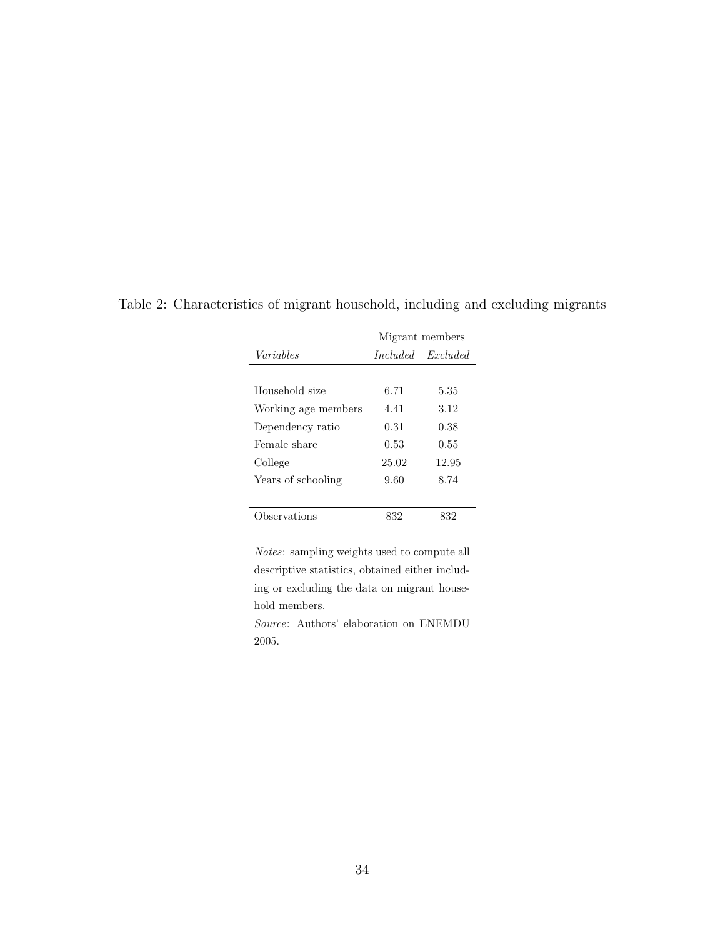|                     | Migrant members |          |  |  |  |
|---------------------|-----------------|----------|--|--|--|
| Variables           | <i>Included</i> | Excluded |  |  |  |
|                     |                 |          |  |  |  |
| Household size      | 6.71            | 5.35     |  |  |  |
| Working age members | 4.41            | 3.12     |  |  |  |
| Dependency ratio    | 0.31            | 0.38     |  |  |  |
| Female share        | 0.53            | 0.55     |  |  |  |
| College             | 25.02           | 12.95    |  |  |  |
| Years of schooling  | 9.60            | 8.74     |  |  |  |
|                     |                 |          |  |  |  |
| Observations        | 832             | 832      |  |  |  |

Table 2: Characteristics of migrant household, including and excluding migrants

Notes: sampling weights used to compute all descriptive statistics, obtained either including or excluding the data on migrant household members.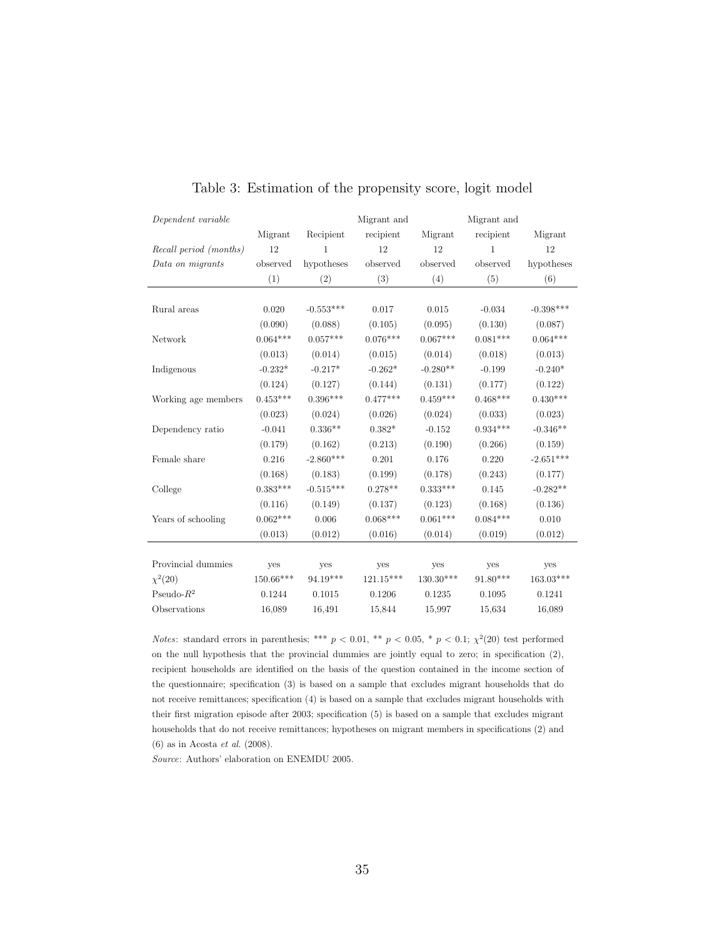| Dependent variable     |            |              | Migrant and |                  | Migrant and  |             |
|------------------------|------------|--------------|-------------|------------------|--------------|-------------|
|                        | Migrant    | Recipient    | recipient   | Migrant          | recipient    | Migrant     |
| Recall period (months) | 12         | $\mathbf{1}$ | 12          | 12               | $\mathbf{1}$ | 12          |
| Data on migrants       | observed   | hypotheses   | observed    | observed         | observed     | hypotheses  |
|                        | (1)        | (2)          | (3)         | (4)              | (5)          | (6)         |
|                        |            |              |             |                  |              |             |
| Rural areas            | 0.020      | $-0.553***$  | 0.017       | 0.015            | $-0.034$     | $-0.398***$ |
|                        | (0.090)    | (0.088)      | (0.105)     | (0.095)          | (0.130)      | (0.087)     |
| Network                | $0.064***$ | $0.057***$   | $0.076***$  | $0.067***$       | $0.081***$   | $0.064***$  |
|                        | (0.013)    | (0.014)      | (0.015)     | (0.014)          | (0.018)      | (0.013)     |
| Indigenous             | $-0.232*$  | $-0.217*$    | $-0.262*$   | $-0.280**$       | $-0.199$     | $-0.240*$   |
|                        | (0.124)    | (0.127)      | (0.144)     | (0.131)          | (0.177)      | (0.122)     |
| Working age members    | $0.453***$ | $0.396***$   | $0.477***$  | $0.459***$       | $0.468***$   | $0.430***$  |
|                        | (0.023)    | (0.024)      | (0.026)     | (0.024)          | (0.033)      | (0.023)     |
| Dependency ratio       | $-0.041$   | $0.336**$    | $0.382*$    | $-0.152$         | $0.934***$   | $-0.346**$  |
|                        | (0.179)    | (0.162)      | (0.213)     | (0.190)          | (0.266)      | (0.159)     |
| Female share           | 0.216      | $-2.860***$  | 0.201       | 0.176            | 0.220        | $-2.651***$ |
|                        | (0.168)    | (0.183)      | (0.199)     | (0.178)          | (0.243)      | (0.177)     |
| College                | $0.383***$ | $-0.515***$  | $0.278**$   | $0.333***$       | 0.145        | $-0.282**$  |
|                        | (0.116)    | (0.149)      | (0.137)     | (0.123)          | (0.168)      | (0.136)     |
| Years of schooling     | $0.062***$ | 0.006        | $0.068***$  | $0.061***$       | $0.084***$   | 0.010       |
|                        | (0.013)    | (0.012)      | (0.016)     | (0.014)          | (0.019)      | (0.012)     |
|                        |            |              |             |                  |              |             |
| Provincial dummies     | yes        | yes          | yes         | yes              | yes          | yes         |
| $\chi^2(20)$           | 150.66***  | $94.19***$   | $121.15***$ | $130.30^{***}\;$ | $91.80***$   | $163.03***$ |
| Pseudo- $R^2$          | 0.1244     | 0.1015       | 0.1206      | 0.1235           | 0.1095       | 0.1241      |
| Observations           | 16,089     | 16,491       | 15,844      | 15,997           | 15.634       | 16.089      |

#### Table 3: Estimation of the propensity score, logit model

*Notes*: standard errors in parenthesis; \*\*\*  $p < 0.01$ , \*\*  $p < 0.05$ , \*  $p < 0.1$ ;  $\chi^2(20)$  test performed on the null hypothesis that the provincial dummies are jointly equal to zero; in specification (2), recipient households are identified on the basis of the question contained in the income section of the questionnaire; specification (3) is based on a sample that excludes migrant households that do not receive remittances; specification (4) is based on a sample that excludes migrant households with their first migration episode after 2003; specification (5) is based on a sample that excludes migrant households that do not receive remittances; hypotheses on migrant members in specifications (2) and (6) as in Acosta et al. (2008).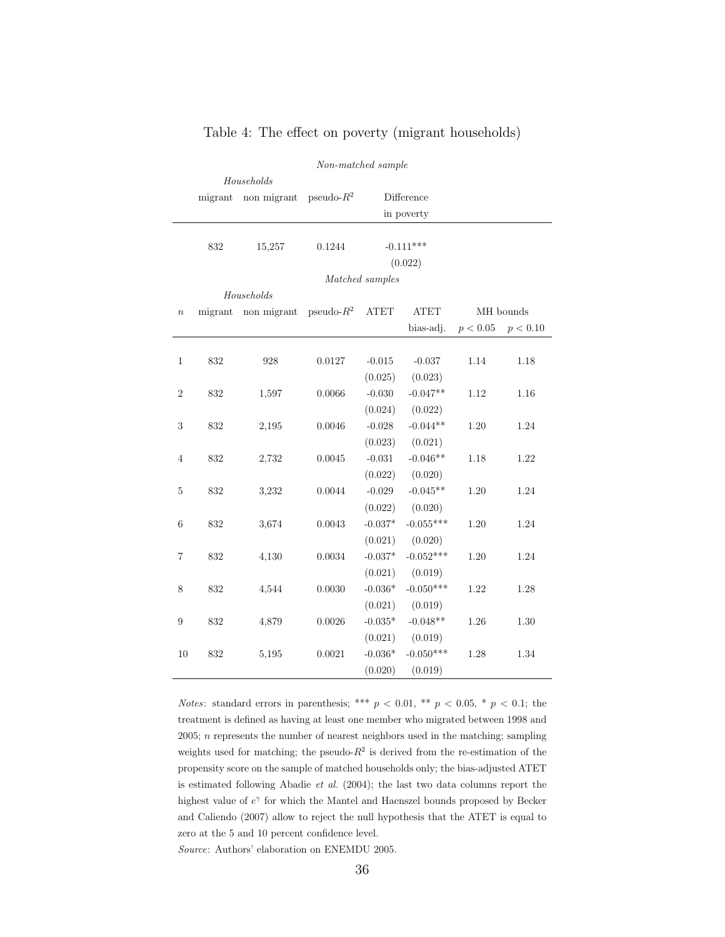|                  | Non-matched sample |             |               |                 |             |          |           |  |
|------------------|--------------------|-------------|---------------|-----------------|-------------|----------|-----------|--|
|                  |                    | Households  |               |                 |             |          |           |  |
|                  | migrant            | non migrant | pseudo- $R^2$ |                 | Difference  |          |           |  |
|                  |                    |             |               |                 | in poverty  |          |           |  |
|                  |                    |             |               |                 |             |          |           |  |
|                  | 832                | 15,257      | 0.1244        |                 | $-0.111***$ |          |           |  |
|                  |                    |             |               |                 | (0.022)     |          |           |  |
|                  |                    |             |               | Matched samples |             |          |           |  |
|                  |                    | Households  |               |                 |             |          |           |  |
| $\boldsymbol{n}$ | migrant            | non migrant | pseudo- $R^2$ | ${\rm ATET}$    | <b>ATET</b> |          | MH bounds |  |
|                  |                    |             |               |                 | bias-adj.   | p < 0.05 | p < 0.10  |  |
|                  |                    |             |               |                 |             |          |           |  |
| $\mathbf{1}$     | 832                | 928         | 0.0127        | $-0.015$        | $-0.037$    | 1.14     | 1.18      |  |
|                  |                    |             |               | (0.025)         | (0.023)     |          |           |  |
| $\overline{2}$   | 832                | 1,597       | 0.0066        | $-0.030$        | $-0.047**$  | 1.12     | 1.16      |  |
|                  |                    |             |               | (0.024)         | (0.022)     |          |           |  |
| $\sqrt{3}$       | 832                | 2,195       | 0.0046        | $-0.028$        | $-0.044**$  | 1.20     | 1.24      |  |
|                  |                    |             |               | (0.023)         | (0.021)     |          |           |  |
| 4                | 832                | 2,732       | 0.0045        | $-0.031$        | $-0.046**$  | 1.18     | 1.22      |  |
|                  |                    |             |               | (0.022)         | (0.020)     |          |           |  |
| $\overline{5}$   | 832                | 3,232       | 0.0044        | $-0.029$        | $-0.045**$  | 1.20     | 1.24      |  |
|                  |                    |             |               | (0.022)         | (0.020)     |          |           |  |
| $\;6\;$          | 832                | 3,674       | 0.0043        | $-0.037*$       | $-0.055***$ | 1.20     | 1.24      |  |
|                  |                    |             |               | (0.021)         | (0.020)     |          |           |  |
| $\overline{7}$   | 832                | 4,130       | 0.0034        | $-0.037*$       | $-0.052***$ | 1.20     | 1.24      |  |
|                  |                    |             |               | (0.021)         | (0.019)     |          |           |  |
| 8                | 832                | 4,544       | 0.0030        | $-0.036*$       | $-0.050***$ | $1.22\,$ | 1.28      |  |
|                  |                    |             |               | (0.021)         | (0.019)     |          |           |  |
| $\boldsymbol{9}$ | 832                | 4,879       | 0.0026        | $-0.035^{\ast}$ | $-0.048**$  | 1.26     | $1.30\,$  |  |
|                  |                    |             |               | (0.021)         | (0.019)     |          |           |  |
| 10               | 832                | 5,195       | 0.0021        | $-0.036*$       | $-0.050***$ | 1.28     | 1.34      |  |
|                  |                    |             |               | (0.020)         | (0.019)     |          |           |  |

#### Table 4: The effect on poverty (migrant households)

*Notes*: standard errors in parenthesis; \*\*\*  $p < 0.01$ , \*\*  $p < 0.05$ , \*  $p < 0.1$ ; the treatment is defined as having at least one member who migrated between 1998 and  $2005$ ;  $n$  represents the number of nearest neighbors used in the matching; sampling weights used for matching; the pseudo- $R^2$  is derived from the re-estimation of the propensity score on the sample of matched households only; the bias-adjusted ATET is estimated following Abadie et al. (2004); the last two data columns report the highest value of  $e^{\gamma}$  for which the Mantel and Haenszel bounds proposed by Becker and Caliendo (2007) allow to reject the null hypothesis that the ATET is equal to zero at the 5 and 10 percent confidence level.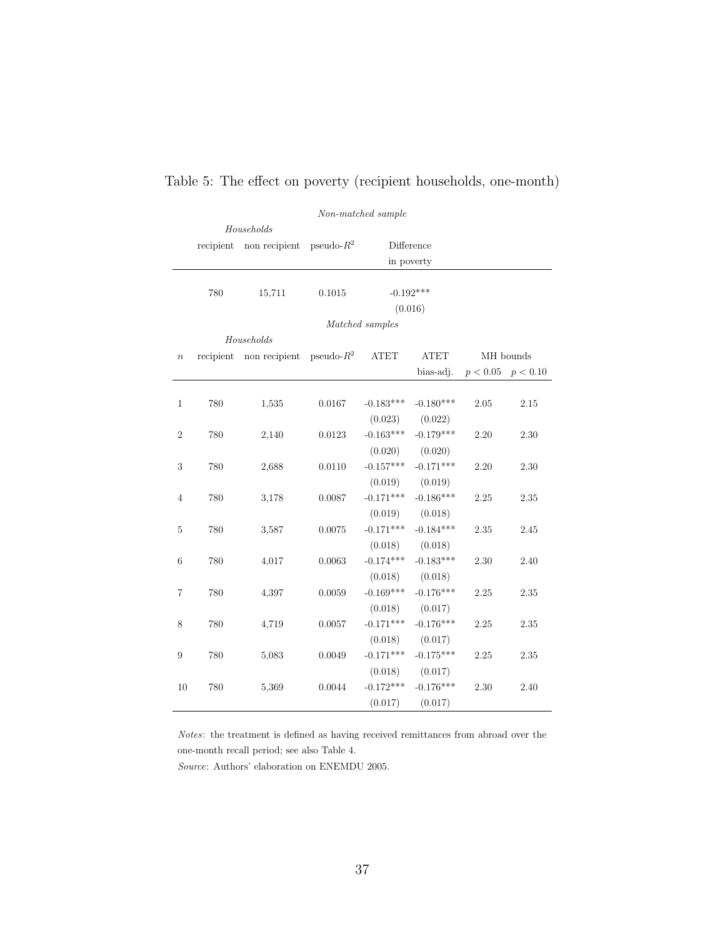|                  | Non-matched sample |               |               |                 |             |          |           |
|------------------|--------------------|---------------|---------------|-----------------|-------------|----------|-----------|
|                  |                    | Households    |               |                 |             |          |           |
|                  | recipient          | non recipient | pseudo- $R^2$ |                 | Difference  |          |           |
|                  |                    |               |               |                 | in poverty  |          |           |
|                  |                    |               |               |                 |             |          |           |
|                  | 780                | 15,711        | 0.1015        |                 | $-0.192***$ |          |           |
|                  |                    |               |               |                 | (0.016)     |          |           |
|                  |                    |               |               | Matched samples |             |          |           |
|                  |                    | Households    |               |                 |             |          |           |
| $\boldsymbol{n}$ | recipient          | non recipient | pseudo- $R^2$ | ATET            | <b>ATET</b> |          | MH bounds |
|                  |                    |               |               |                 | bias-adj.   | p < 0.05 | p < 0.10  |
|                  |                    |               |               |                 |             |          |           |
| $\mathbf{1}$     | 780                | 1,535         | 0.0167        | $-0.183***$     | $-0.180***$ | 2.05     | 2.15      |
|                  |                    |               |               | (0.023)         | (0.022)     |          |           |
| $\overline{2}$   | 780                | 2,140         | 0.0123        | $-0.163***$     | $-0.179***$ | 2.20     | 2.30      |
|                  |                    |               |               | (0.020)         | (0.020)     |          |           |
| 3                | 780                | 2,688         | 0.0110        | $-0.157***$     | $-0.171***$ | 2.20     | 2.30      |
|                  |                    |               |               | (0.019)         | (0.019)     |          |           |
| 4                | 780                | 3,178         | 0.0087        | $-0.171***$     | $-0.186***$ | 2.25     | 2.35      |
|                  |                    |               |               | (0.019)         | (0.018)     |          |           |
| $\bf 5$          | 780                | 3,587         | 0.0075        | $-0.171***$     | $-0.184***$ | $2.35\,$ | 2.45      |
|                  |                    |               |               | (0.018)         | (0.018)     |          |           |
| $\boldsymbol{6}$ | 780                | 4,017         | 0.0063        | $-0.174***$     | $-0.183***$ | 2.30     | 2.40      |
|                  |                    |               |               | (0.018)         | (0.018)     |          |           |
| $\overline{7}$   | 780                | 4,397         | 0.0059        | $-0.169***$     | $-0.176***$ | 2.25     | 2.35      |
|                  |                    |               |               | (0.018)         | (0.017)     |          |           |
| 8                | 780                | 4,719         | 0.0057        | $-0.171***$     | $-0.176***$ | 2.25     | 2.35      |
|                  |                    |               |               | (0.018)         | (0.017)     |          |           |
| 9                | 780                | 5,083         | 0.0049        | $-0.171***$     | $-0.175***$ | 2.25     | 2.35      |
|                  |                    |               |               | (0.018)         | (0.017)     |          |           |
| 10               | 780                | 5,369         | 0.0044        | $-0.172***$     | $-0.176***$ | 2.30     | 2.40      |
|                  |                    |               |               | (0.017)         | (0.017)     |          |           |

### Table 5: The effect on poverty (recipient households, one-month)

Notes: the treatment is defined as having received remittances from abroad over the one-month recall period; see also Table 4.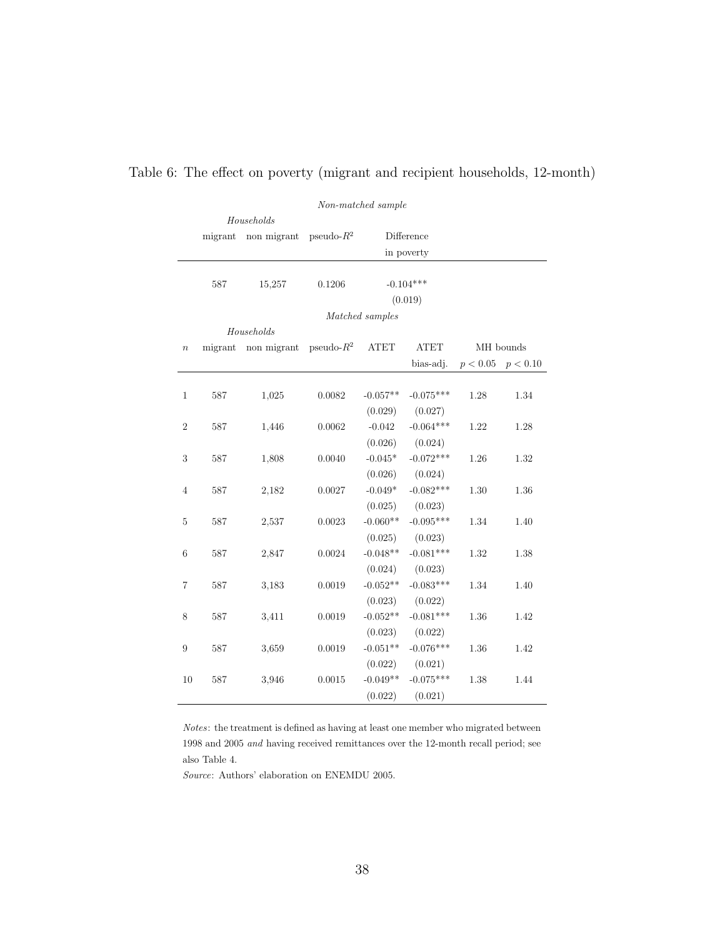|                  | Non-matched sample |             |               |                 |             |          |           |  |
|------------------|--------------------|-------------|---------------|-----------------|-------------|----------|-----------|--|
|                  |                    | Households  |               |                 |             |          |           |  |
|                  | migrant            | non migrant | $pseudo-R^2$  |                 | Difference  |          |           |  |
|                  |                    |             |               |                 | in poverty  |          |           |  |
|                  |                    |             |               |                 |             |          |           |  |
|                  | 587                | 15,257      | 0.1206        |                 | $-0.104***$ |          |           |  |
|                  |                    |             |               |                 | (0.019)     |          |           |  |
|                  |                    |             |               | Matched samples |             |          |           |  |
|                  |                    | Households  |               |                 |             |          |           |  |
| $\boldsymbol{n}$ | migrant            | non migrant | pseudo- $R^2$ | ATET            | ATET        |          | MH bounds |  |
|                  |                    |             |               |                 | bias-adj.   | p < 0.05 | p < 0.10  |  |
|                  |                    |             |               |                 |             |          |           |  |
| $\mathbf{1}$     | 587                | 1,025       | 0.0082        | $-0.057**$      | $-0.075***$ | 1.28     | 1.34      |  |
|                  |                    |             |               | (0.029)         | (0.027)     |          |           |  |
| $\overline{2}$   | $587\,$            | 1,446       | 0.0062        | $-0.042$        | $-0.064***$ | 1.22     | 1.28      |  |
|                  |                    |             |               | (0.026)         | (0.024)     |          |           |  |
| 3                | 587                | 1,808       | 0.0040        | $-0.045*$       | $-0.072***$ | 1.26     | 1.32      |  |
|                  |                    |             |               | (0.026)         | (0.024)     |          |           |  |
| $\overline{4}$   | 587                | 2,182       | 0.0027        | $-0.049*$       | $-0.082***$ | 1.30     | 1.36      |  |
|                  |                    |             |               | (0.025)         | (0.023)     |          |           |  |
| 5                | 587                | 2,537       | 0.0023        | $-0.060**$      | $-0.095***$ | 1.34     | 1.40      |  |
|                  |                    |             |               | (0.025)         | (0.023)     |          |           |  |
| $\,$ 6 $\,$      | $587\,$            | 2,847       | 0.0024        | $-0.048**$      | $-0.081***$ | 1.32     | 1.38      |  |
|                  |                    |             |               | (0.024)         | (0.023)     |          |           |  |
| $\overline{7}$   | 587                | 3,183       | 0.0019        | $-0.052**$      | $-0.083***$ | 1.34     | 1.40      |  |
|                  |                    |             |               | (0.023)         | (0.022)     |          |           |  |
| 8                | 587                | 3,411       | 0.0019        | $-0.052**$      | $-0.081***$ | $1.36\,$ | 1.42      |  |
|                  |                    |             |               | (0.023)         | (0.022)     |          |           |  |
| 9                | 587                | 3,659       | 0.0019        | $-0.051**$      | $-0.076***$ | $1.36\,$ | 1.42      |  |
|                  |                    |             |               | (0.022)         | (0.021)     |          |           |  |
| 10               | 587                | 3,946       | 0.0015        | $-0.049**$      | $-0.075***$ | $1.38\,$ | 1.44      |  |
|                  |                    |             |               | (0.022)         | (0.021)     |          |           |  |

## Table 6: The effect on poverty (migrant and recipient households, 12-month)

Notes: the treatment is defined as having at least one member who migrated between 1998 and 2005 and having received remittances over the 12-month recall period; see also Table 4.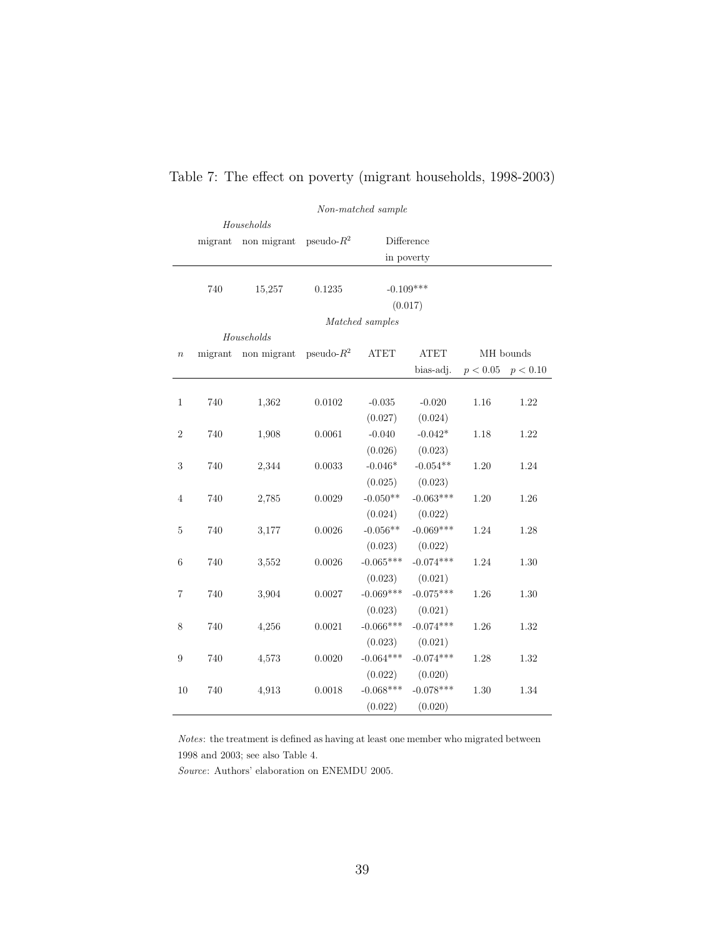|                  | Non-matched sample |             |               |             |             |            |           |  |  |
|------------------|--------------------|-------------|---------------|-------------|-------------|------------|-----------|--|--|
|                  | Households         |             |               |             |             |            |           |  |  |
|                  | migrant            | non migrant | pseudo- $R^2$ |             | Difference  |            |           |  |  |
|                  |                    |             |               |             | in poverty  |            |           |  |  |
|                  |                    |             |               |             |             |            |           |  |  |
|                  | 740                | 15,257      | 0.1235        |             | $-0.109***$ |            |           |  |  |
|                  |                    |             |               |             | (0.017)     |            |           |  |  |
|                  | Matched samples    |             |               |             |             |            |           |  |  |
|                  |                    | Households  |               |             |             |            |           |  |  |
| $\boldsymbol{n}$ | migrant            | non migrant | pseudo- $R^2$ | <b>ATET</b> | <b>ATET</b> |            | MH bounds |  |  |
|                  |                    |             |               |             | bias-adj.   | $p<0.05\,$ | p < 0.10  |  |  |
|                  |                    |             |               |             |             |            |           |  |  |
| $\mathbf{1}$     | 740                | 1,362       | 0.0102        | $-0.035$    | $-0.020$    | 1.16       | 1.22      |  |  |
|                  |                    |             |               | (0.027)     | (0.024)     |            |           |  |  |
| $\,2$            | 740                | 1,908       | 0.0061        | $-0.040$    | $-0.042*$   | 1.18       | 1.22      |  |  |
|                  |                    |             |               | (0.026)     | (0.023)     |            |           |  |  |
| $\sqrt{3}$       | 740                | 2,344       | 0.0033        | $-0.046*$   | $-0.054**$  | $1.20\,$   | 1.24      |  |  |
|                  |                    |             |               | (0.025)     | (0.023)     |            |           |  |  |
| 4                | 740                | 2,785       | 0.0029        | $-0.050**$  | $-0.063***$ | 1.20       | 1.26      |  |  |
|                  |                    |             |               | (0.024)     | (0.022)     |            |           |  |  |
| $\bf 5$          | 740                | 3,177       | 0.0026        | $-0.056**$  | $-0.069***$ | 1.24       | 1.28      |  |  |
|                  |                    |             |               | (0.023)     | (0.022)     |            |           |  |  |
| $\,$ 6 $\,$      | 740                | 3,552       | 0.0026        | $-0.065***$ | $-0.074***$ | 1.24       | 1.30      |  |  |
|                  |                    |             |               | (0.023)     | (0.021)     |            |           |  |  |
| 7                | 740                | 3,904       | 0.0027        | $-0.069***$ | $-0.075***$ | 1.26       | 1.30      |  |  |
|                  |                    |             |               | (0.023)     | (0.021)     |            |           |  |  |
| $8\,$            | 740                | 4,256       | 0.0021        | $-0.066***$ | $-0.074***$ | $1.26\,$   | 1.32      |  |  |
|                  |                    |             |               | (0.023)     | (0.021)     |            |           |  |  |
| $\boldsymbol{9}$ | 740                | 4,573       | 0.0020        | $-0.064***$ | $-0.074***$ | 1.28       | 1.32      |  |  |
|                  |                    |             |               | (0.022)     | (0.020)     |            |           |  |  |
| 10               | 740                | 4,913       | 0.0018        | $-0.068***$ | $-0.078***$ | 1.30       | 1.34      |  |  |
|                  |                    |             |               | (0.022)     | (0.020)     |            |           |  |  |

## Table 7: The effect on poverty (migrant households, 1998-2003)

Notes: the treatment is defined as having at least one member who migrated between 1998 and 2003; see also Table 4.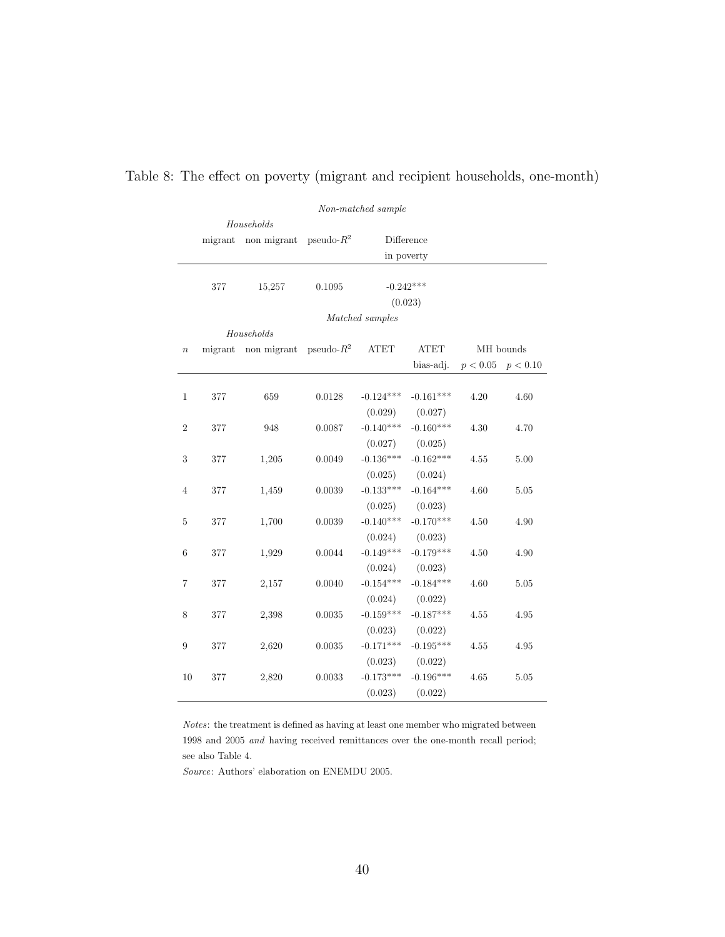|                  | Non-matched sample |             |               |                 |             |          |           |
|------------------|--------------------|-------------|---------------|-----------------|-------------|----------|-----------|
|                  |                    | Households  |               |                 |             |          |           |
|                  | migrant            | non migrant | pseudo- $R^2$ |                 | Difference  |          |           |
|                  |                    |             |               | in poverty      |             |          |           |
|                  |                    |             |               |                 |             |          |           |
|                  | 377                | 15,257      | 0.1095        |                 | $-0.242***$ |          |           |
|                  |                    |             |               |                 | (0.023)     |          |           |
|                  |                    |             |               | Matched samples |             |          |           |
|                  |                    | Households  |               |                 |             |          |           |
| $\boldsymbol{n}$ | migrant            | non migrant | $pseudo-R^2$  | ATET            | <b>ATET</b> |          | MH bounds |
|                  |                    |             |               |                 | bias-adj.   | p < 0.05 | p < 0.10  |
|                  |                    |             |               |                 |             |          |           |
| $\mathbf 1$      | 377                | 659         | 0.0128        | $-0.124***$     | $-0.161***$ | 4.20     | 4.60      |
|                  |                    |             |               | (0.029)         | (0.027)     |          |           |
| $\overline{2}$   | 377                | 948         | 0.0087        | $-0.140***$     | $-0.160***$ | 4.30     | 4.70      |
|                  |                    |             |               | (0.027)         | (0.025)     |          |           |
| 3                | 377                | 1,205       | 0.0049        | $-0.136***$     | $-0.162***$ | 4.55     | 5.00      |
|                  |                    |             |               | (0.025)         | (0.024)     |          |           |
| 4                | 377                | 1,459       | 0.0039        | $-0.133***$     | $-0.164***$ | 4.60     | 5.05      |
|                  |                    |             |               | (0.025)         | (0.023)     |          |           |
| $\overline{5}$   | 377                | 1,700       | 0.0039        | $-0.140***$     | $-0.170***$ | 4.50     | 4.90      |
|                  |                    |             |               | (0.024)         | (0.023)     |          |           |
| 6                | 377                | 1,929       | 0.0044        | $-0.149***$     | $-0.179***$ | 4.50     | 4.90      |
|                  |                    |             |               | (0.024)         | (0.023)     |          |           |
| 7                | 377                | 2,157       | 0.0040        | $-0.154***$     | $-0.184***$ | 4.60     | 5.05      |
|                  |                    |             |               | (0.024)         | (0.022)     |          |           |
| $\,$ 8 $\,$      | 377                | 2,398       | $0.0035\,$    | $-0.159***$     | $-0.187***$ | 4.55     | 4.95      |
|                  |                    |             |               | (0.023)         | (0.022)     |          |           |
| 9                | 377                | 2,620       | 0.0035        | $-0.171***$     | $-0.195***$ | 4.55     | 4.95      |
|                  |                    |             |               | (0.023)         | (0.022)     |          |           |
| 10               | 377                | 2,820       | 0.0033        | $-0.173***$     | $-0.196***$ | 4.65     | 5.05      |
|                  |                    |             |               | (0.023)         | (0.022)     |          |           |

## Table 8: The effect on poverty (migrant and recipient households, one-month)

Notes: the treatment is defined as having at least one member who migrated between 1998 and 2005 and having received remittances over the one-month recall period; see also Table 4.